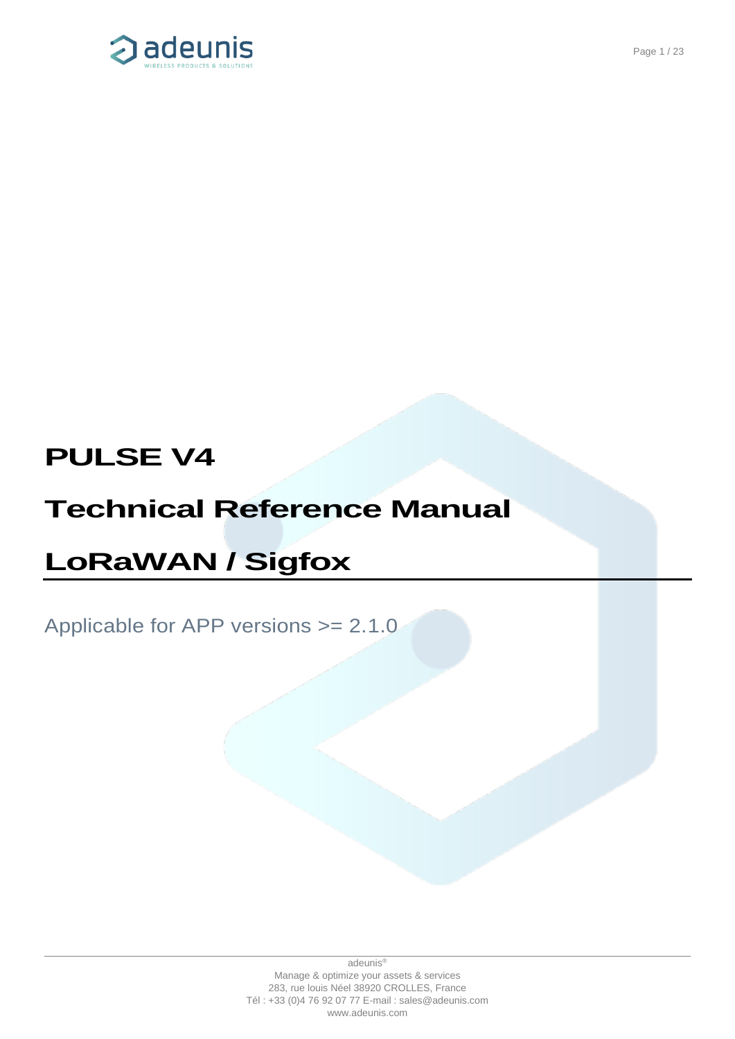

# **PULSE V4**

# **Technical Reference Manual**

# **LoRaWAN / Sigfox**

# Applicable for APP versions >= 2.1.0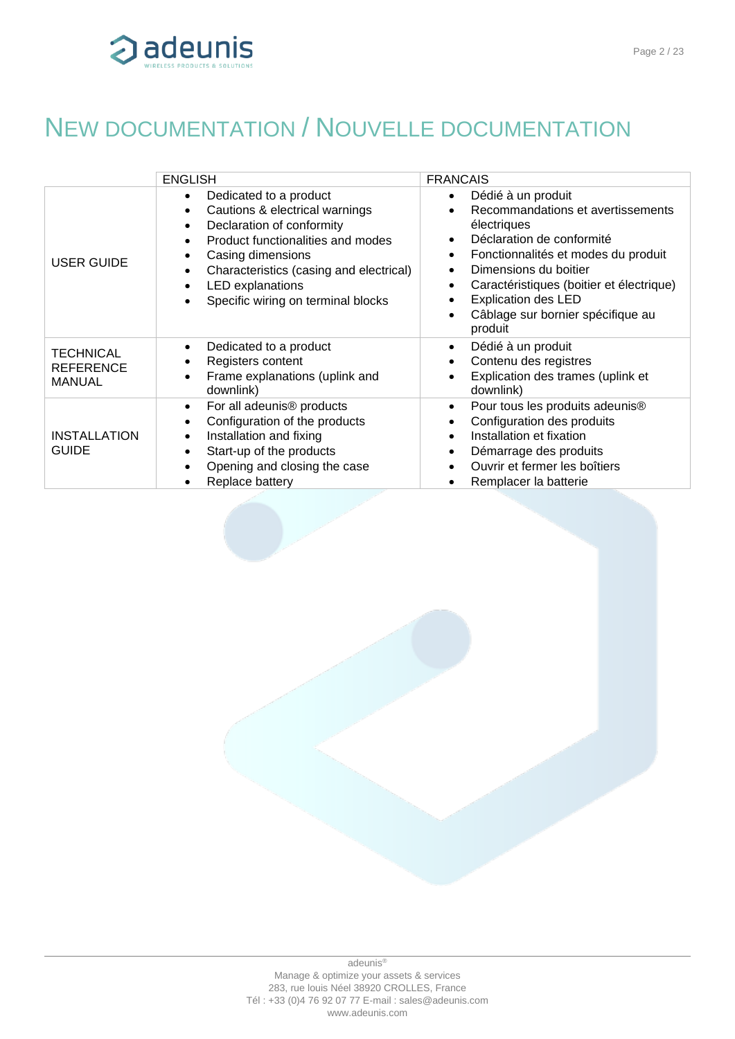

# <span id="page-1-0"></span>NEW DOCUMENTATION / NOUVELLE DOCUMENTATION

|                                                       | <b>ENGLISH</b>                                                                                                                                                                                                                                                                                                                                                      | <b>FRANCAIS</b>                                                                                                                                                                                                                                                                                                                                                |
|-------------------------------------------------------|---------------------------------------------------------------------------------------------------------------------------------------------------------------------------------------------------------------------------------------------------------------------------------------------------------------------------------------------------------------------|----------------------------------------------------------------------------------------------------------------------------------------------------------------------------------------------------------------------------------------------------------------------------------------------------------------------------------------------------------------|
| <b>USER GUIDE</b>                                     | Dedicated to a product<br>$\bullet$<br>Cautions & electrical warnings<br>$\bullet$<br>Declaration of conformity<br>$\bullet$<br>Product functionalities and modes<br>$\bullet$<br>Casing dimensions<br>$\bullet$<br>Characteristics (casing and electrical)<br>$\bullet$<br><b>LED</b> explanations<br>$\bullet$<br>Specific wiring on terminal blocks<br>$\bullet$ | Dédié à un produit<br>$\bullet$<br>Recommandations et avertissements<br>électriques<br>Déclaration de conformité<br>$\bullet$<br>Fonctionnalités et modes du produit<br>$\bullet$<br>Dimensions du boitier<br>Caractéristiques (boitier et électrique)<br>$\bullet$<br><b>Explication des LED</b><br>Câblage sur bornier spécifique au<br>$\bullet$<br>produit |
| <b>TECHNICAL</b><br><b>REFERENCE</b><br><b>MANUAL</b> | Dedicated to a product<br>$\bullet$<br>Registers content<br>٠<br>Frame explanations (uplink and<br>$\bullet$<br>downlink)                                                                                                                                                                                                                                           | Dédié à un produit<br>$\bullet$<br>Contenu des registres<br>Explication des trames (uplink et<br>downlink)                                                                                                                                                                                                                                                     |
| <b>INSTALLATION</b><br><b>GUIDE</b>                   | For all adeunis <sup>®</sup> products<br>$\bullet$<br>Configuration of the products<br>$\bullet$<br>Installation and fixing<br>$\bullet$<br>Start-up of the products<br>$\bullet$<br>Opening and closing the case<br>$\bullet$<br>Replace battery<br>$\bullet$                                                                                                      | Pour tous les produits adeunis <sup>®</sup><br>$\bullet$<br>Configuration des produits<br>Installation et fixation<br>Démarrage des produits<br>$\bullet$<br>Ouvrir et fermer les boîtiers<br>Remplacer la batterie                                                                                                                                            |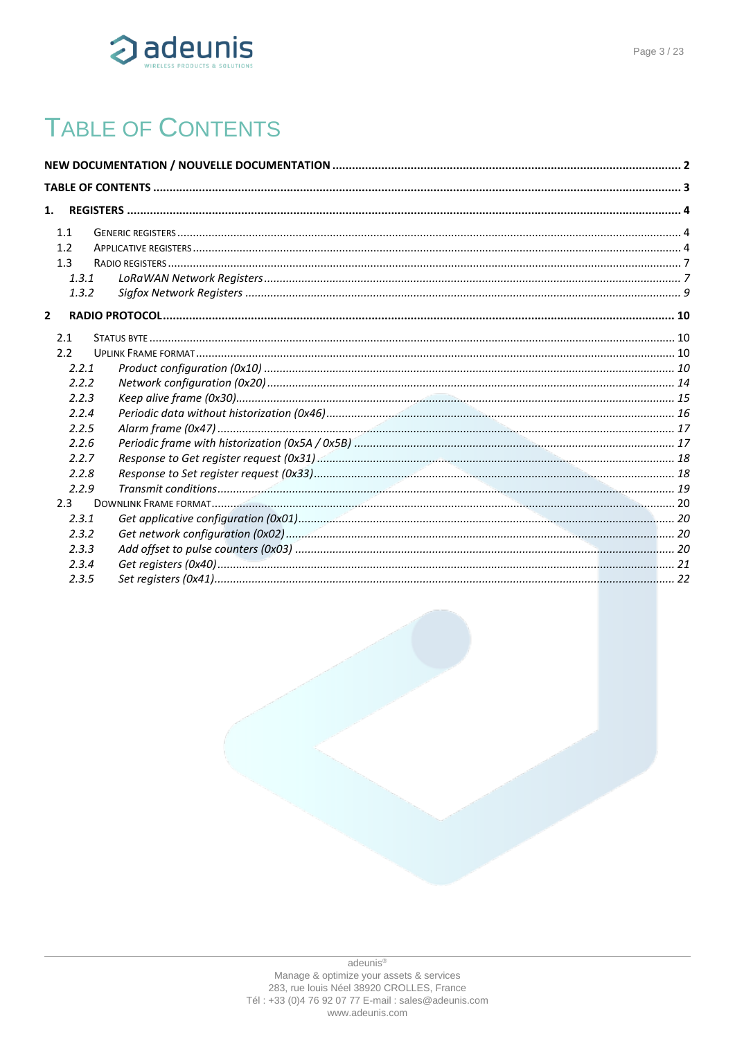

# <span id="page-2-0"></span>**TABLE OF CONTENTS**

| 1.             |  |
|----------------|--|
|                |  |
| 1.1            |  |
| 1.2            |  |
| 1.3            |  |
| 1.3.1          |  |
| 1.3.2          |  |
| $\overline{2}$ |  |
| 2.1            |  |
| 2.2            |  |
| 2.2.1          |  |
| 2.2.2          |  |
| 2.2.3          |  |
| 2.2.4          |  |
| 2.2.5          |  |
| 2.2.6          |  |
| 2.2.7          |  |
| 2.2.8          |  |
| 2.2.9          |  |
| 2.3            |  |
| 2.3.1          |  |
| 2.3.2          |  |
| 2.3.3          |  |
| 2.3.4          |  |
| 2.3.5          |  |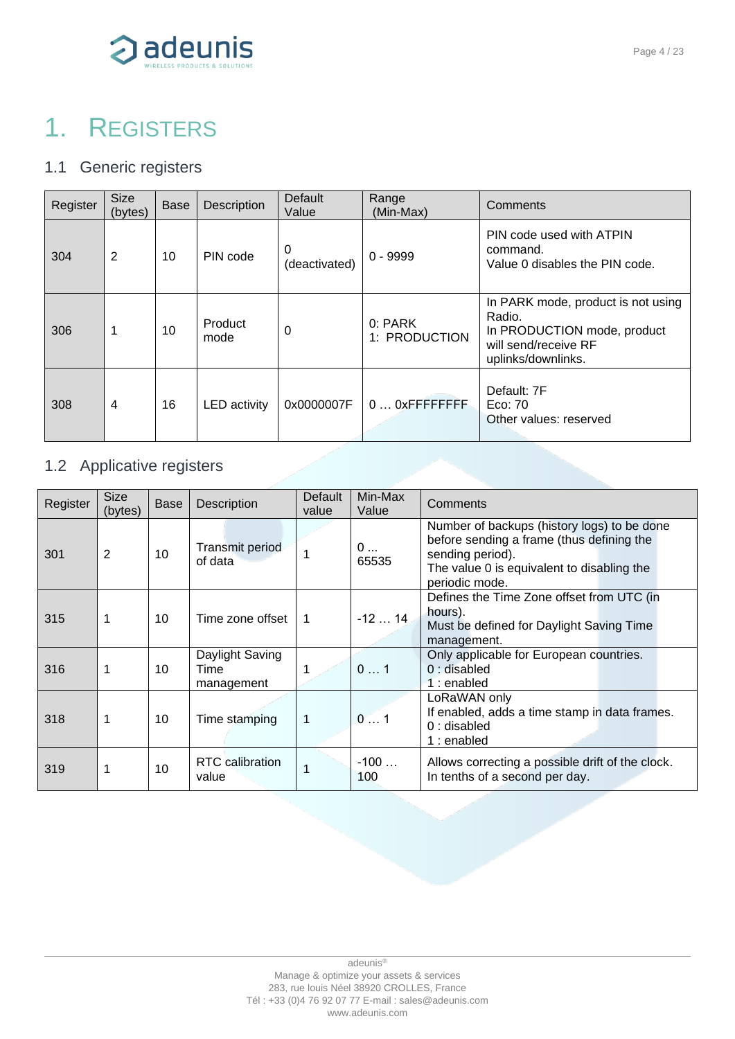

# <span id="page-3-0"></span>1. REGISTERS

## <span id="page-3-1"></span>1.1 Generic registers

| Register | <b>Size</b><br>(bytes) | <b>Base</b> | Description         | <b>Default</b><br>Value | Range<br>(Min-Max)       | Comments                                                                                                                  |
|----------|------------------------|-------------|---------------------|-------------------------|--------------------------|---------------------------------------------------------------------------------------------------------------------------|
| 304      | 2                      | 10          | PIN code            | 0<br>(deactivated)      | $0 - 9999$               | PIN code used with ATPIN<br>command.<br>Value 0 disables the PIN code.                                                    |
| 306      | 1                      | 10          | Product<br>mode     | 0                       | 0: PARK<br>1: PRODUCTION | In PARK mode, product is not using<br>Radio.<br>In PRODUCTION mode, product<br>will send/receive RF<br>uplinks/downlinks. |
| 308      | 4                      | 16          | <b>LED</b> activity | 0x0000007F              | $0$ $0x$ FFFFFFFFF       | Default: 7F<br>Eco: 70<br>Other values: reserved                                                                          |

# <span id="page-3-2"></span>1.2 Applicative registers

| Register | <b>Size</b><br>(bytes) | Base | Description                           | Default<br>value | Min-Max<br>Value | Comments                                                                                                                                                                     |
|----------|------------------------|------|---------------------------------------|------------------|------------------|------------------------------------------------------------------------------------------------------------------------------------------------------------------------------|
| 301      | 2                      | 10   | Transmit period<br>of data            |                  | 0<br>65535       | Number of backups (history logs) to be done<br>before sending a frame (thus defining the<br>sending period).<br>The value 0 is equivalent to disabling the<br>periodic mode. |
| 315      | 1                      | 10   | Time zone offset                      | 1                | $-1214$          | Defines the Time Zone offset from UTC (in<br>hours).<br>Must be defined for Daylight Saving Time<br>management.                                                              |
| 316      | 1                      | 10   | Daylight Saving<br>Time<br>management |                  | 01               | Only applicable for European countries.<br>$0:$ disabled<br>$1:$ enabled                                                                                                     |
| 318      | 1                      | 10   | Time stamping                         | 1                | 01               | LoRaWAN only<br>If enabled, adds a time stamp in data frames.<br>$0:$ disabled<br>1 : enabled                                                                                |
| 319      | 1                      | 10   | <b>RTC</b> calibration<br>value       |                  | $-100$<br>100    | Allows correcting a possible drift of the clock.<br>In tenths of a second per day.                                                                                           |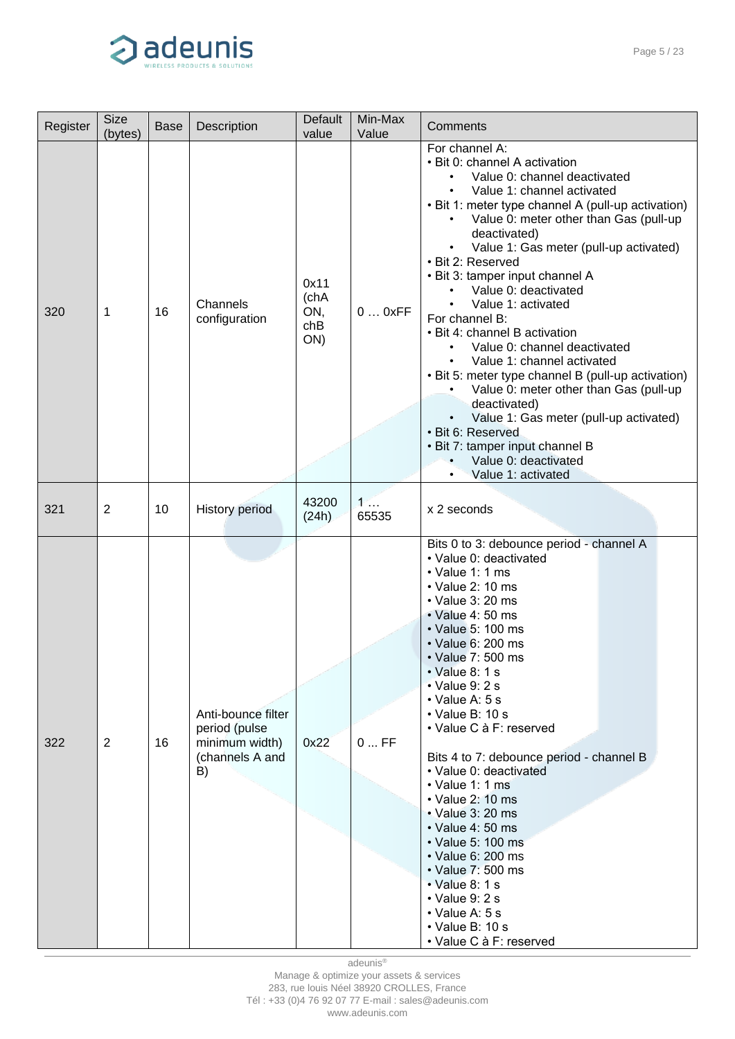

| Register | <b>Size</b><br>(bytes) | <b>Base</b> | Description                                                                    | Default<br>value                  | Min-Max<br>Value | Comments                                                                                                                                                                                                                                                                                                                                                                                                                                                                                                                                                                                                                                                                                                                                                                 |  |  |
|----------|------------------------|-------------|--------------------------------------------------------------------------------|-----------------------------------|------------------|--------------------------------------------------------------------------------------------------------------------------------------------------------------------------------------------------------------------------------------------------------------------------------------------------------------------------------------------------------------------------------------------------------------------------------------------------------------------------------------------------------------------------------------------------------------------------------------------------------------------------------------------------------------------------------------------------------------------------------------------------------------------------|--|--|
| 320      | 1                      | 16          | Channels<br>configuration                                                      | 0x11<br>(chA<br>ON,<br>chB<br>ON) | 00xFF            | For channel A:<br>• Bit 0: channel A activation<br>Value 0: channel deactivated<br>Value 1: channel activated<br>• Bit 1: meter type channel A (pull-up activation)<br>Value 0: meter other than Gas (pull-up<br>٠<br>deactivated)<br>Value 1: Gas meter (pull-up activated)<br>• Bit 2: Reserved<br>• Bit 3: tamper input channel A<br>Value 0: deactivated<br>Value 1: activated<br>For channel B:<br>• Bit 4: channel B activation<br>Value 0: channel deactivated<br>٠<br>Value 1: channel activated<br>• Bit 5: meter type channel B (pull-up activation)<br>Value 0: meter other than Gas (pull-up<br>deactivated)<br>Value 1: Gas meter (pull-up activated)<br>• Bit 6: Reserved<br>• Bit 7: tamper input channel B<br>Value 0: deactivated<br>Value 1: activated |  |  |
| 321      | $\overline{2}$         | 10          | <b>History period</b>                                                          | 43200<br>(24h)                    | 1<br>65535       | x 2 seconds                                                                                                                                                                                                                                                                                                                                                                                                                                                                                                                                                                                                                                                                                                                                                              |  |  |
| 322      | $\overline{2}$         | 16          | Anti-bounce filter<br>period (pulse<br>minimum width)<br>(channels A and<br>B) | 0x22                              | $0$ FF           | Bits 0 to 3: debounce period - channel A<br>• Value 0: deactivated<br>$\cdot$ Value 1: 1 ms<br>• Value 2: 10 ms<br>• Value 3: 20 ms<br>$\cdot$ Value 4: 50 ms<br>• Value 5: 100 ms<br>• Value 6: 200 ms<br>• Value 7: 500 ms<br>• Value 8: 1 s<br>• Value 9: 2 s<br>$\cdot$ Value A: 5 s<br>$\cdot$ Value B: 10 s<br>• Value C à F: reserved<br>Bits 4 to 7: debounce period - channel B<br>• Value 0: deactivated<br>• Value 1: 1 ms<br>$\cdot$ Value 2: 10 ms<br>• Value 3: 20 ms<br>• Value 4: 50 ms<br>• Value 5: 100 ms<br>• Value 6: 200 ms<br>• Value 7: 500 ms<br>$\cdot$ Value 8: 1 s<br>$\cdot$ Value 9: 2 s<br>$\cdot$ Value A: 5 s<br>• Value B: 10 s<br>• Value C à F: reserved                                                                             |  |  |

adeunis®

Manage & optimize your assets & services 283, rue louis Néel 38920 CROLLES, France Tél : +33 (0)4 76 92 07 77 E-mail : sales@adeunis.com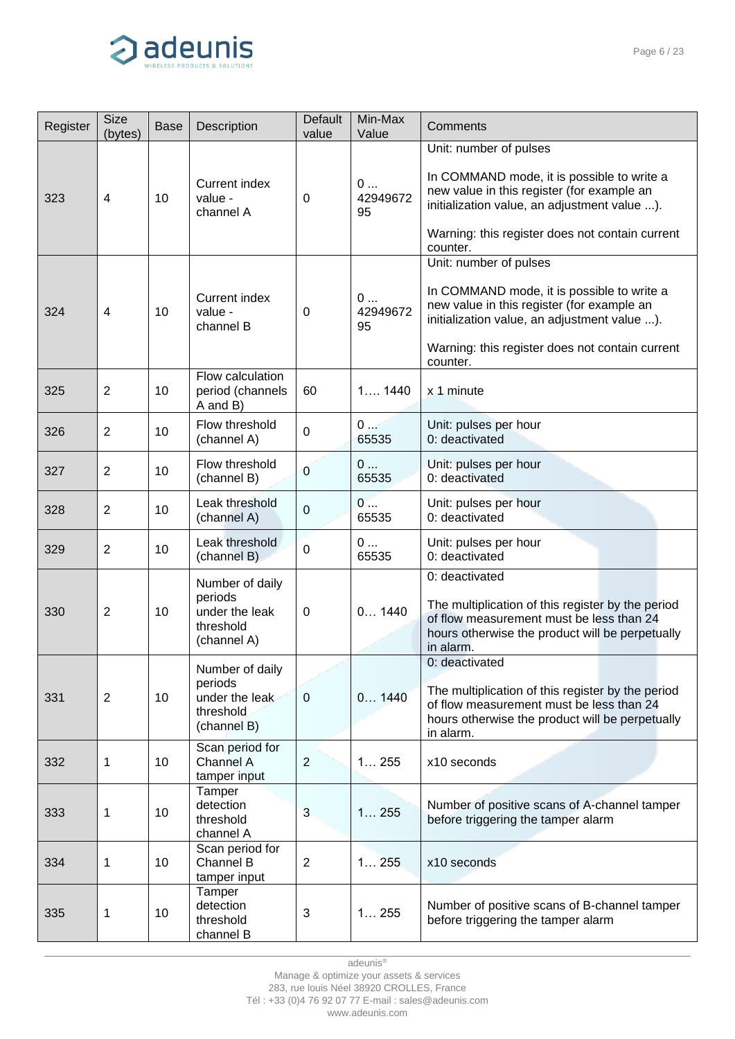

| Register | <b>Size</b><br>(bytes) | <b>Base</b> | Description                                                              | Default<br>value | Min-Max<br>Value    | Comments                                                                                                                                                                                                                          |  |
|----------|------------------------|-------------|--------------------------------------------------------------------------|------------------|---------------------|-----------------------------------------------------------------------------------------------------------------------------------------------------------------------------------------------------------------------------------|--|
|          |                        |             |                                                                          |                  |                     | Unit: number of pulses                                                                                                                                                                                                            |  |
| 323      | 4                      | 10          | Current index<br>value -<br>channel A                                    | 0                | 0<br>42949672<br>95 | In COMMAND mode, it is possible to write a<br>new value in this register (for example an<br>initialization value, an adjustment value ).<br>Warning: this register does not contain current                                       |  |
|          |                        |             |                                                                          |                  |                     | counter.                                                                                                                                                                                                                          |  |
| 324      | 4                      | 10          | <b>Current index</b><br>value -<br>channel B                             | 0                | 0<br>42949672<br>95 | Unit: number of pulses<br>In COMMAND mode, it is possible to write a<br>new value in this register (for example an<br>initialization value, an adjustment value ).<br>Warning: this register does not contain current<br>counter. |  |
| 325      | $\overline{2}$         | 10          | Flow calculation<br>period (channels<br>A and B)                         | 60               | 11440               | x 1 minute                                                                                                                                                                                                                        |  |
| 326      | $\overline{2}$         | 10          | Flow threshold<br>(channel A)                                            | $\mathbf 0$      | 0<br>65535          | Unit: pulses per hour<br>0: deactivated                                                                                                                                                                                           |  |
| 327      | $\overline{2}$         | 10          | Flow threshold<br>(channel B)                                            | $\mathbf 0$      | 0<br>65535          | Unit: pulses per hour<br>0: deactivated                                                                                                                                                                                           |  |
| 328      | $\overline{2}$         | 10          | Leak threshold<br>(channel A)                                            | $\pmb{0}$        | 0<br>65535          | Unit: pulses per hour<br>0: deactivated                                                                                                                                                                                           |  |
| 329      | $\overline{2}$         | 10          | Leak threshold<br>(channel B)                                            | $\mathbf 0$      | 0<br>65535          | Unit: pulses per hour<br>0: deactivated                                                                                                                                                                                           |  |
| 330      | $\overline{2}$         | 10          | Number of daily<br>periods<br>under the leak<br>threshold<br>(channel A) | 0                | 0 1440              | 0: deactivated<br>The multiplication of this register by the period<br>of flow measurement must be less than 24<br>hours otherwise the product will be perpetually<br>in alarm.                                                   |  |
| 331      | $\overline{2}$         | 10          | Number of daily<br>periods<br>under the leak<br>threshold<br>(channel B) | $\pmb{0}$        | 0 1440              | 0: deactivated<br>The multiplication of this register by the period<br>of flow measurement must be less than 24<br>hours otherwise the product will be perpetually<br>in alarm.                                                   |  |
| 332      | $\mathbf{1}$           | 10          | Scan period for<br>Channel A<br>tamper input                             | $\mathbf{2}$     | 1255                | x10 seconds                                                                                                                                                                                                                       |  |
| 333      | 1                      | 10          | Tamper<br>detection<br>threshold<br>channel A                            | $\mathbf{3}$     | 1255                | Number of positive scans of A-channel tamper<br>before triggering the tamper alarm                                                                                                                                                |  |
| 334      | 1                      | 10          | Scan period for<br>Channel B<br>tamper input                             | $\overline{2}$   | 1255                | x10 seconds                                                                                                                                                                                                                       |  |
| 335      | 1                      | 10          | Tamper<br>detection<br>threshold<br>channel B                            | $\mathbf{3}$     | 1255                | Number of positive scans of B-channel tamper<br>before triggering the tamper alarm                                                                                                                                                |  |

283, rue louis Néel 38920 CROLLES, France

Tél : +33 (0)4 76 92 07 77 E-mail : sales@adeunis.com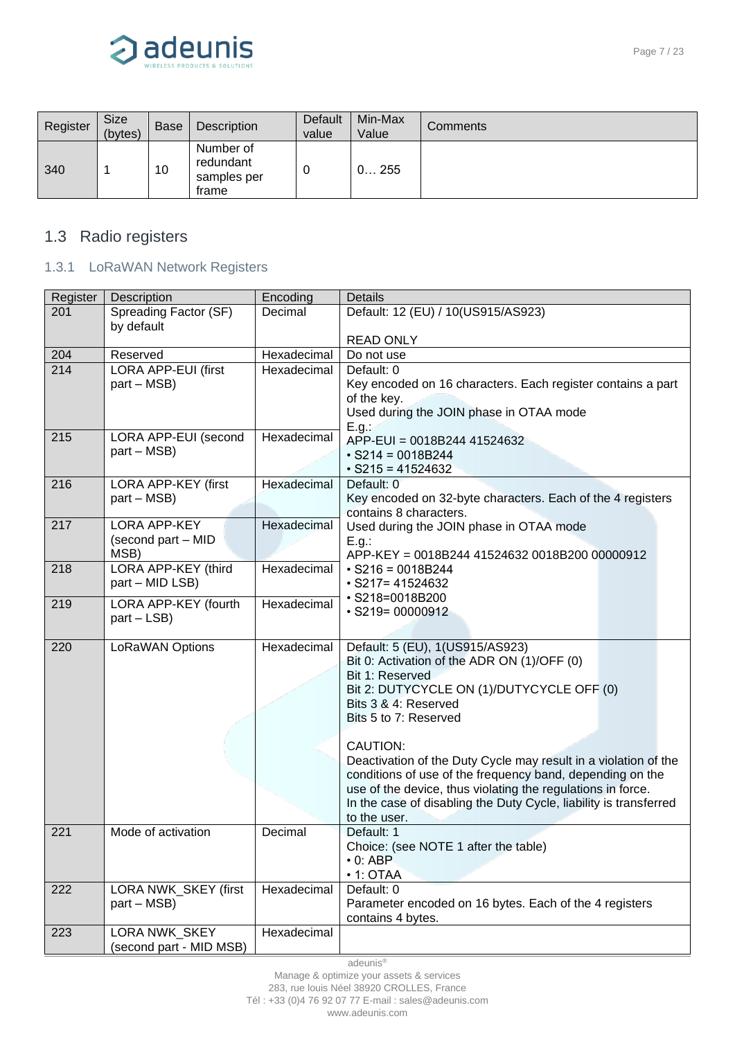

| Register | <b>Size</b><br>(bytes) | <b>Base</b> | Description                                    | Default<br>value | Min-Max<br>Value | Comments |
|----------|------------------------|-------------|------------------------------------------------|------------------|------------------|----------|
| 340      |                        | 10          | Number of<br>redundant<br>samples per<br>frame | 0                | 0255             |          |

## <span id="page-6-0"></span>1.3 Radio registers

### <span id="page-6-1"></span>1.3.1 LoRaWAN Network Registers

| Register | Description                         | Encoding    | <b>Details</b>                                                           |
|----------|-------------------------------------|-------------|--------------------------------------------------------------------------|
| 201      | Spreading Factor (SF)<br>by default | Decimal     | Default: 12 (EU) / 10(US915/AS923)                                       |
|          |                                     |             | <b>READ ONLY</b>                                                         |
| 204      | Reserved                            | Hexadecimal | Do not use                                                               |
| 214      | <b>LORA APP-EUI (first</b>          | Hexadecimal | Default: 0                                                               |
|          | part - MSB)                         |             | Key encoded on 16 characters. Each register contains a part              |
|          |                                     |             | of the key.                                                              |
|          |                                     |             | Used during the JOIN phase in OTAA mode                                  |
| 215      | LORA APP-EUI (second                | Hexadecimal | E.g.<br>APP-EUI = 0018B244 41524632                                      |
|          | part – MSB)                         |             | $\cdot$ S214 = 0018B244                                                  |
|          |                                     |             | $\cdot$ S215 = 41524632                                                  |
| 216      | LORA APP-KEY (first                 | Hexadecimal | Default: 0                                                               |
|          | part – MSB)                         |             | Key encoded on 32-byte characters. Each of the 4 registers               |
|          |                                     |             | contains 8 characters.                                                   |
| 217      | <b>LORA APP-KEY</b>                 | Hexadecimal | Used during the JOIN phase in OTAA mode                                  |
|          | (second part - MID<br>MSB)          |             | E.g.:                                                                    |
| 218      | LORA APP-KEY (third                 | Hexadecimal | APP-KEY = 0018B244 41524632 0018B200 00000912<br>$\cdot$ S216 = 0018B244 |
|          | part - MID LSB)                     |             | $\cdot$ S217= 41524632                                                   |
|          |                                     |             | · S218=0018B200                                                          |
| 219      | LORA APP-KEY (fourth                | Hexadecimal | $\cdot$ S219= 00000912                                                   |
|          | part - LSB)                         |             |                                                                          |
| 220      | LoRaWAN Options                     | Hexadecimal | Default: 5 (EU), 1 (US915/AS923)                                         |
|          |                                     |             | Bit 0: Activation of the ADR ON (1)/OFF (0)                              |
|          |                                     |             | Bit 1: Reserved                                                          |
|          |                                     |             | Bit 2: DUTYCYCLE ON (1)/DUTYCYCLE OFF (0)                                |
|          |                                     |             | Bits 3 & 4: Reserved                                                     |
|          |                                     |             | Bits 5 to 7: Reserved                                                    |
|          |                                     |             | CAUTION:                                                                 |
|          |                                     |             | Deactivation of the Duty Cycle may result in a violation of the          |
|          |                                     |             | conditions of use of the frequency band, depending on the                |
|          |                                     |             | use of the device, thus violating the regulations in force.              |
|          |                                     |             | In the case of disabling the Duty Cycle, liability is transferred        |
|          |                                     |             | to the user.                                                             |
| 221      | Mode of activation                  | Decimal     | Default: 1                                                               |
|          |                                     |             | Choice: (see NOTE 1 after the table)                                     |
|          |                                     |             | $\cdot$ 0: ABP                                                           |
|          | LORA NWK_SKEY (first                | Hexadecimal | $\cdot$ 1: OTAA                                                          |
| 222      | part – MSB)                         |             | Default: 0<br>Parameter encoded on 16 bytes. Each of the 4 registers     |
|          |                                     |             | contains 4 bytes.                                                        |
| 223      | LORA NWK SKEY                       | Hexadecimal |                                                                          |
|          | (second part - MID MSB)             |             |                                                                          |

Manage & optimize your assets & services

283, rue louis Néel 38920 CROLLES, France

Tél : +33 (0)4 76 92 07 77 E-mail : sales@adeunis.com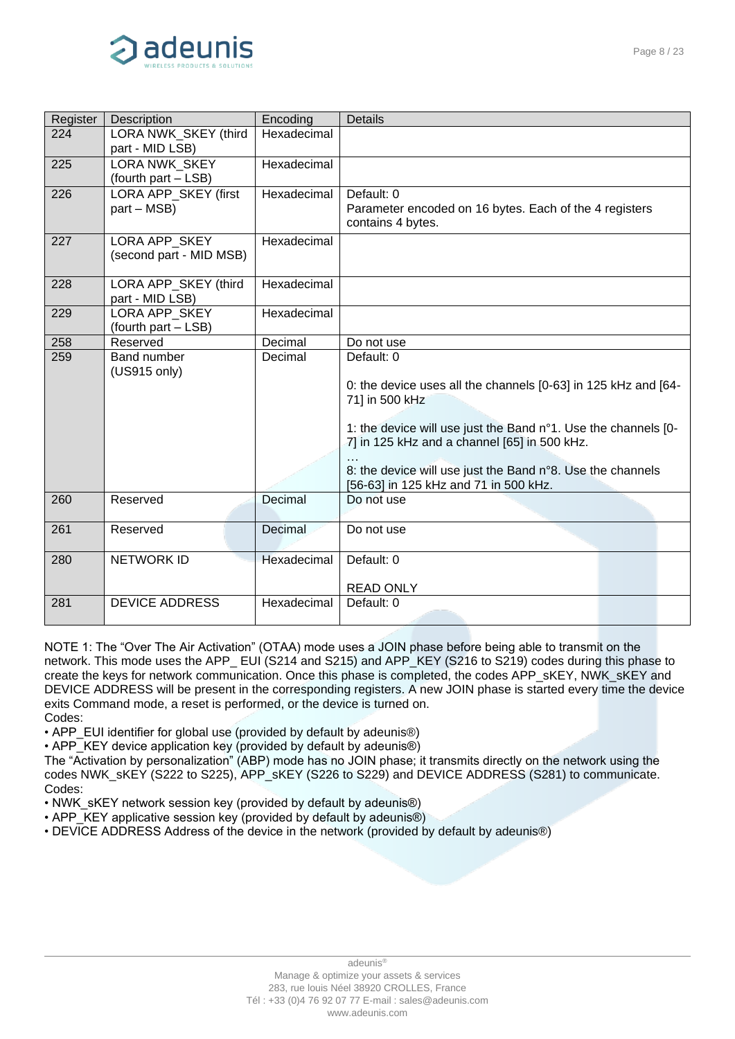

| Register | <b>Description</b>                          | Encoding    | <b>Details</b>                                                                                                                                                                                                                                                                                                          |
|----------|---------------------------------------------|-------------|-------------------------------------------------------------------------------------------------------------------------------------------------------------------------------------------------------------------------------------------------------------------------------------------------------------------------|
| 224      | LORA NWK SKEY (third<br>part - MID LSB)     | Hexadecimal |                                                                                                                                                                                                                                                                                                                         |
| 225      | LORA NWK SKEY<br>(fourth part - LSB)        | Hexadecimal |                                                                                                                                                                                                                                                                                                                         |
| 226      | LORA APP_SKEY (first<br>part – MSB)         | Hexadecimal | Default: 0<br>Parameter encoded on 16 bytes. Each of the 4 registers<br>contains 4 bytes.                                                                                                                                                                                                                               |
| 227      | LORA APP_SKEY<br>(second part - MID MSB)    | Hexadecimal |                                                                                                                                                                                                                                                                                                                         |
| 228      | LORA APP_SKEY (third<br>part - MID LSB)     | Hexadecimal |                                                                                                                                                                                                                                                                                                                         |
| 229      | <b>LORA APP SKEY</b><br>(fourth part - LSB) | Hexadecimal |                                                                                                                                                                                                                                                                                                                         |
| 258      | Reserved                                    | Decimal     | Do not use                                                                                                                                                                                                                                                                                                              |
| 259      | <b>Band number</b><br>(US915 only)          | Decimal     | Default: 0<br>0: the device uses all the channels [0-63] in 125 kHz and [64-<br>71] in 500 kHz<br>1: the device will use just the Band n°1. Use the channels [0-<br>7] in 125 kHz and a channel [65] in 500 kHz.<br>8: the device will use just the Band n°8. Use the channels<br>[56-63] in 125 kHz and 71 in 500 kHz. |
| 260      | Reserved                                    | Decimal     | Do not use                                                                                                                                                                                                                                                                                                              |
| 261      | Reserved                                    | Decimal     | Do not use                                                                                                                                                                                                                                                                                                              |
| 280      | <b>NETWORK ID</b>                           | Hexadecimal | Default: 0<br><b>READ ONLY</b>                                                                                                                                                                                                                                                                                          |
| 281      | <b>DEVICE ADDRESS</b>                       | Hexadecimal | Default: 0                                                                                                                                                                                                                                                                                                              |

NOTE 1: The "Over The Air Activation" (OTAA) mode uses a JOIN phase before being able to transmit on the network. This mode uses the APP\_ EUI (S214 and S215) and APP\_KEY (S216 to S219) codes during this phase to create the keys for network communication. Once this phase is completed, the codes APP\_sKEY, NWK\_sKEY and DEVICE ADDRESS will be present in the corresponding registers. A new JOIN phase is started every time the device exits Command mode, a reset is performed, or the device is turned on. Codes:

• APP\_EUI identifier for global use (provided by default by adeunis®)

• APP\_KEY device application key (provided by default by adeunis®)

The "Activation by personalization" (ABP) mode has no JOIN phase; it transmits directly on the network using the codes NWK\_sKEY (S222 to S225), APP\_sKEY (S226 to S229) and DEVICE ADDRESS (S281) to communicate. Codes:

• NWK\_sKEY network session key (provided by default by adeunis®)

- APP\_KEY applicative session key (provided by default by adeunis®)
- DEVICE ADDRESS Address of the device in the network (provided by default by adeunis®)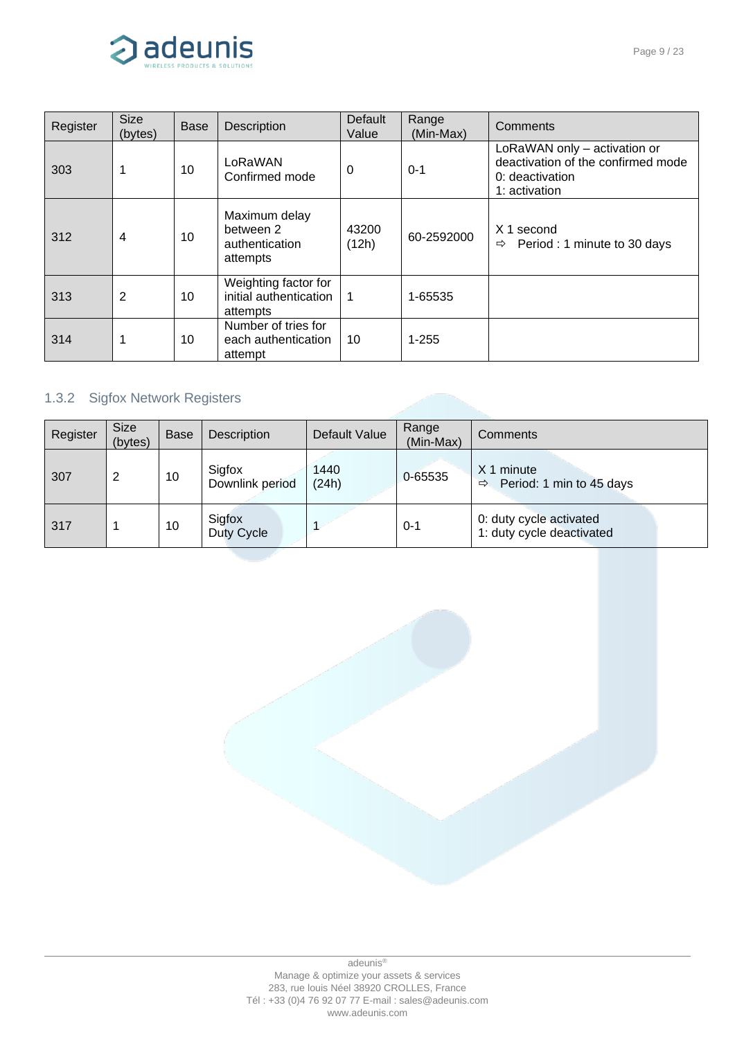

| Register | <b>Size</b><br>(bytes) | <b>Base</b> | <b>Description</b>                                         | Default<br>Value | Range<br>(Min-Max) | Comments                                                                                               |  |  |
|----------|------------------------|-------------|------------------------------------------------------------|------------------|--------------------|--------------------------------------------------------------------------------------------------------|--|--|
| 303      |                        | 10          | LoRaWAN<br>Confirmed mode                                  | $\Omega$         | $0 - 1$            | LoRaWAN only - activation or<br>deactivation of the confirmed mode<br>0: deactivation<br>1: activation |  |  |
| 312      | 4                      | 10          | Maximum delay<br>between 2<br>authentication<br>attempts   | 43200<br>(12h)   | 60-2592000         | X 1 second<br>Period: 1 minute to 30 days<br>$\Rightarrow$                                             |  |  |
| 313      | 2                      | 10          | Weighting factor for<br>initial authentication<br>attempts | $\overline{1}$   | 1-65535            |                                                                                                        |  |  |
| 314      |                        | 10          | Number of tries for<br>each authentication<br>attempt      | 10               | $1 - 255$          |                                                                                                        |  |  |

## <span id="page-8-0"></span>1.3.2 Sigfox Network Registers

| Register | <b>Size</b><br>(bytes) | <b>Base</b> | Description               | Default Value | Range<br>(Min-Max) | Comments                                                |
|----------|------------------------|-------------|---------------------------|---------------|--------------------|---------------------------------------------------------|
| 307      | 2                      | 10          | Sigfox<br>Downlink period | 1440<br>(24h) | 0-65535            | X 1 minute<br>Period: 1 min to 45 days<br>$\Rightarrow$ |
| 317      |                        | 10          | Sigfox<br>Duty Cycle      |               | 0-1                | 0: duty cycle activated<br>1: duty cycle deactivated    |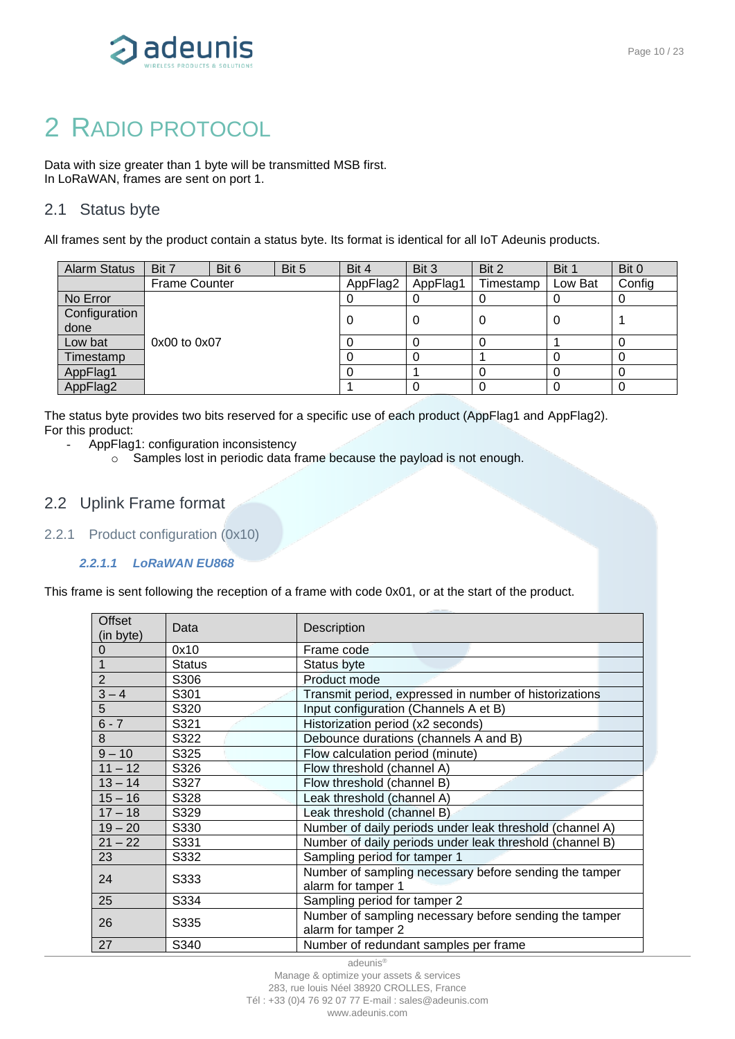

# <span id="page-9-0"></span>2 RADIO PROTOCOL

Data with size greater than 1 byte will be transmitted MSB first. In LoRaWAN, frames are sent on port 1.

### <span id="page-9-1"></span>2.1 Status byte

All frames sent by the product contain a status byte. Its format is identical for all IoT Adeunis products.

| <b>Alarm Status</b>   | Bit 7                | Bit 6 | Bit 5 | Bit 4    | Bit 3    | Bit 2     | Bit 1   | Bit 0  |
|-----------------------|----------------------|-------|-------|----------|----------|-----------|---------|--------|
|                       | <b>Frame Counter</b> |       |       | AppFlag2 | AppFlag1 | Timestamp | Low Bat | Config |
| No Error              |                      |       |       |          |          |           |         | υ      |
| Configuration<br>done |                      |       |       |          | 0        |           | 0       |        |
| Low bat               | $0x00$ to $0x07$     |       |       |          |          |           |         | O      |
| Timestamp             |                      |       |       |          |          |           |         | 0      |
| AppFlag1              |                      |       |       |          |          |           |         | 0      |
| AppFlag2              |                      |       |       |          |          |           |         | 0      |

The status byte provides two bits reserved for a specific use of each product (AppFlag1 and AppFlag2). For this product:

- AppFlag1: configuration inconsistency
	- o Samples lost in periodic data frame because the payload is not enough.

### <span id="page-9-2"></span>2.2 Uplink Frame format

<span id="page-9-3"></span>2.2.1 Product configuration (0x10)

#### *2.2.1.1 LoRaWAN EU868*

This frame is sent following the reception of a frame with code 0x01, or at the start of the product.

| Offset<br>(in byte) | Data          | Description                                              |
|---------------------|---------------|----------------------------------------------------------|
| 0                   | 0x10          | Frame code                                               |
|                     | <b>Status</b> | Status byte                                              |
| $\overline{2}$      | S306          | Product mode                                             |
| $3 - 4$             | S301          | Transmit period, expressed in number of historizations   |
| 5                   | S320          | Input configuration (Channels A et B)                    |
| $6 - 7$             | S321          | Historization period (x2 seconds)                        |
| 8                   | S322          | Debounce durations (channels A and B)                    |
| $9 - 10$            | S325          | Flow calculation period (minute)                         |
| $11 - 12$           | S326          | Flow threshold (channel A)                               |
| $13 - 14$           | S327          | Flow threshold (channel B)                               |
| $15 - 16$           | S328          | Leak threshold (channel A)                               |
| $17 - 18$           | S329          | Leak threshold (channel B)                               |
| $19 - 20$           | S330          | Number of daily periods under leak threshold (channel A) |
| $21 - 22$           | S331          | Number of daily periods under leak threshold (channel B) |
| 23                  | S332          | Sampling period for tamper 1                             |
| 24                  | S333          | Number of sampling necessary before sending the tamper   |
|                     |               | alarm for tamper 1                                       |
| 25                  | S334          | Sampling period for tamper 2                             |
| 26                  | S335          | Number of sampling necessary before sending the tamper   |
|                     |               | alarm for tamper 2                                       |
| 27                  | S340          | Number of redundant samples per frame                    |

adeunis®

Manage & optimize your assets & services 283, rue louis Néel 38920 CROLLES, France Tél : +33 (0)4 76 92 07 77 E-mail : sales@adeunis.com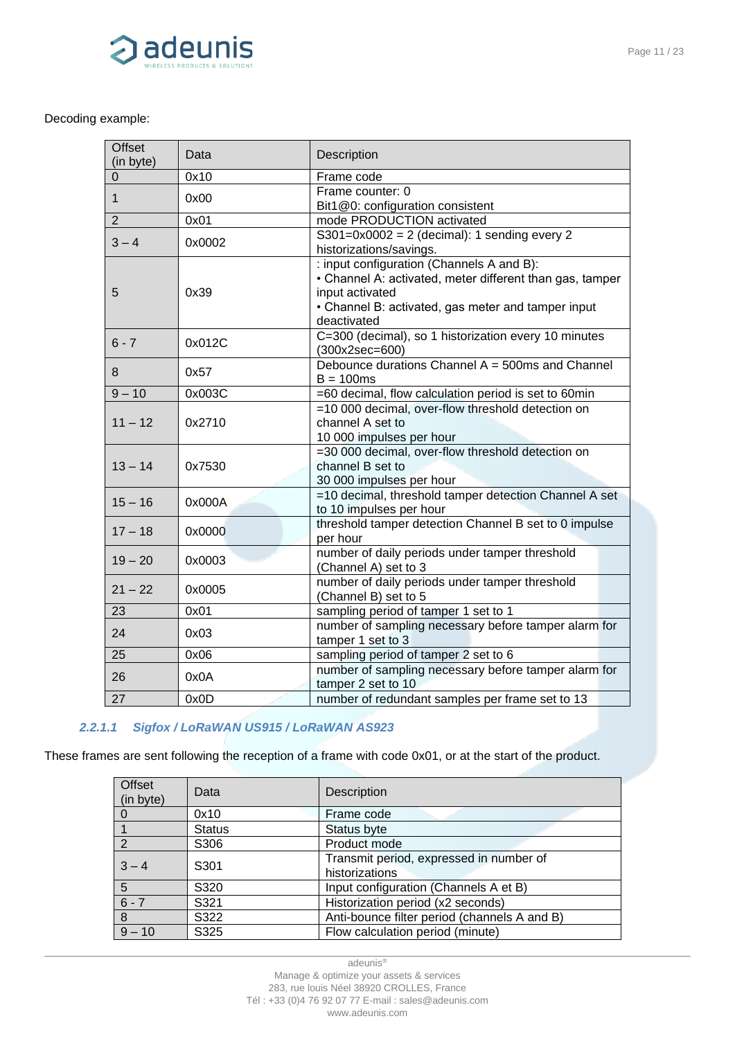

#### Decoding example:

| 0x10<br>Frame code<br>0<br>Frame counter: 0<br>0x00<br>$\mathbf 1$<br>Bit1@0: configuration consistent<br>$\overline{2}$<br>mode PRODUCTION activated<br>0x01<br>$S301=0x0002 = 2$ (decimal): 1 sending every 2<br>$3 - 4$<br>0x0002<br>historizations/savings.<br>: input configuration (Channels A and B):<br>• Channel A: activated, meter different than gas, tamper<br>0x39<br>input activated<br>5<br>• Channel B: activated, gas meter and tamper input<br>deactivated<br>C=300 (decimal), so 1 historization every 10 minutes<br>$6 - 7$<br>0x012C<br>$(300x2sec=600)$ | <b>Offset</b><br>(in byte) | Data   | Description |
|--------------------------------------------------------------------------------------------------------------------------------------------------------------------------------------------------------------------------------------------------------------------------------------------------------------------------------------------------------------------------------------------------------------------------------------------------------------------------------------------------------------------------------------------------------------------------------|----------------------------|--------|-------------|
|                                                                                                                                                                                                                                                                                                                                                                                                                                                                                                                                                                                |                            |        |             |
|                                                                                                                                                                                                                                                                                                                                                                                                                                                                                                                                                                                |                            |        |             |
|                                                                                                                                                                                                                                                                                                                                                                                                                                                                                                                                                                                |                            |        |             |
|                                                                                                                                                                                                                                                                                                                                                                                                                                                                                                                                                                                |                            |        |             |
|                                                                                                                                                                                                                                                                                                                                                                                                                                                                                                                                                                                |                            |        |             |
|                                                                                                                                                                                                                                                                                                                                                                                                                                                                                                                                                                                |                            |        |             |
|                                                                                                                                                                                                                                                                                                                                                                                                                                                                                                                                                                                |                            |        |             |
|                                                                                                                                                                                                                                                                                                                                                                                                                                                                                                                                                                                |                            |        |             |
|                                                                                                                                                                                                                                                                                                                                                                                                                                                                                                                                                                                |                            |        |             |
|                                                                                                                                                                                                                                                                                                                                                                                                                                                                                                                                                                                |                            |        |             |
|                                                                                                                                                                                                                                                                                                                                                                                                                                                                                                                                                                                |                            |        |             |
|                                                                                                                                                                                                                                                                                                                                                                                                                                                                                                                                                                                |                            |        |             |
|                                                                                                                                                                                                                                                                                                                                                                                                                                                                                                                                                                                |                            |        |             |
| Debounce durations Channel A = 500ms and Channel<br>8<br>0x57                                                                                                                                                                                                                                                                                                                                                                                                                                                                                                                  |                            |        |             |
| $B = 100ms$                                                                                                                                                                                                                                                                                                                                                                                                                                                                                                                                                                    |                            |        |             |
| $9 - 10$<br>=60 decimal, flow calculation period is set to 60min<br>0x003C                                                                                                                                                                                                                                                                                                                                                                                                                                                                                                     |                            |        |             |
| =10 000 decimal, over-flow threshold detection on                                                                                                                                                                                                                                                                                                                                                                                                                                                                                                                              |                            |        |             |
| channel A set to<br>0x2710                                                                                                                                                                                                                                                                                                                                                                                                                                                                                                                                                     | $11 - 12$                  |        |             |
| 10 000 impulses per hour                                                                                                                                                                                                                                                                                                                                                                                                                                                                                                                                                       |                            |        |             |
| =30 000 decimal, over-flow threshold detection on<br>$13 - 14$                                                                                                                                                                                                                                                                                                                                                                                                                                                                                                                 |                            |        |             |
| channel B set to                                                                                                                                                                                                                                                                                                                                                                                                                                                                                                                                                               |                            | 0x7530 |             |
| 30 000 impulses per hour<br>=10 decimal, threshold tamper detection Channel A set                                                                                                                                                                                                                                                                                                                                                                                                                                                                                              |                            |        |             |
| $15 - 16$<br>0x000A<br>to 10 impulses per hour                                                                                                                                                                                                                                                                                                                                                                                                                                                                                                                                 |                            |        |             |
| threshold tamper detection Channel B set to 0 impulse                                                                                                                                                                                                                                                                                                                                                                                                                                                                                                                          |                            |        |             |
| $17 - 18$<br>0x0000<br>per hour                                                                                                                                                                                                                                                                                                                                                                                                                                                                                                                                                |                            |        |             |
| number of daily periods under tamper threshold                                                                                                                                                                                                                                                                                                                                                                                                                                                                                                                                 |                            |        |             |
| $19 - 20$<br>0x0003<br>(Channel A) set to 3                                                                                                                                                                                                                                                                                                                                                                                                                                                                                                                                    |                            |        |             |
| number of daily periods under tamper threshold                                                                                                                                                                                                                                                                                                                                                                                                                                                                                                                                 |                            |        |             |
| $21 - 22$<br>0x0005<br>(Channel B) set to 5                                                                                                                                                                                                                                                                                                                                                                                                                                                                                                                                    |                            |        |             |
| 23<br>0x01<br>sampling period of tamper 1 set to 1                                                                                                                                                                                                                                                                                                                                                                                                                                                                                                                             |                            |        |             |
| number of sampling necessary before tamper alarm for                                                                                                                                                                                                                                                                                                                                                                                                                                                                                                                           |                            |        |             |
| 24<br>tamper 1 set to 3                                                                                                                                                                                                                                                                                                                                                                                                                                                                                                                                                        |                            | 0x03   |             |
| sampling period of tamper 2 set to 6<br>25<br>0x06                                                                                                                                                                                                                                                                                                                                                                                                                                                                                                                             |                            |        |             |
| number of sampling necessary before tamper alarm for                                                                                                                                                                                                                                                                                                                                                                                                                                                                                                                           |                            |        |             |
| 26<br>tamper 2 set to 10                                                                                                                                                                                                                                                                                                                                                                                                                                                                                                                                                       |                            | 0x0A   |             |
| 27<br>number of redundant samples per frame set to 13<br>0x0D                                                                                                                                                                                                                                                                                                                                                                                                                                                                                                                  |                            |        |             |

#### *2.2.1.1 Sigfox / LoRaWAN US915 / LoRaWAN AS923*

These frames are sent following the reception of a frame with code 0x01, or at the start of the product.

| <b>Offset</b><br>(in byte) | Data             | Description                                               |
|----------------------------|------------------|-----------------------------------------------------------|
| 0                          | 0x10             | Frame code                                                |
|                            | <b>Status</b>    | Status byte                                               |
| 2                          | S306             | Product mode                                              |
| $3 - 4$                    | S <sub>301</sub> | Transmit period, expressed in number of<br>historizations |
| 5                          | S320             | Input configuration (Channels A et B)                     |
| $6 - 7$                    | S321             | Historization period (x2 seconds)                         |
| 8                          | S322             | Anti-bounce filter period (channels A and B)              |
| $9 - 10$                   | S325             | Flow calculation period (minute)                          |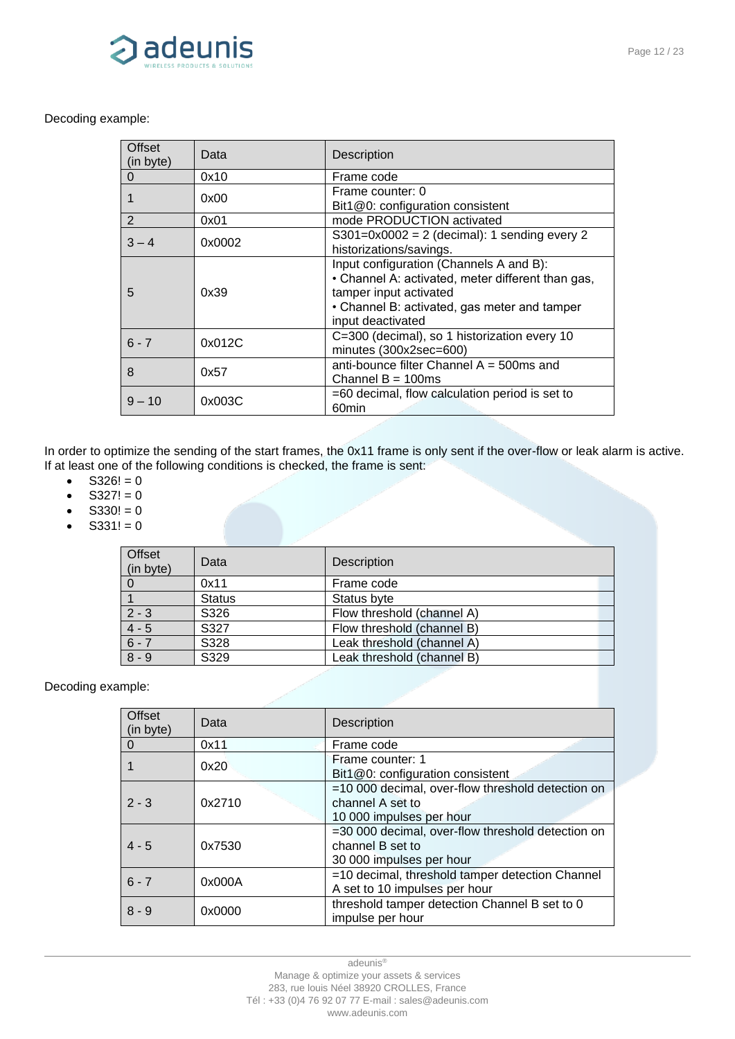

#### Decoding example:

| Offset<br>(in byte) | Data   | <b>Description</b>                                                                                                                                                                          |
|---------------------|--------|---------------------------------------------------------------------------------------------------------------------------------------------------------------------------------------------|
| 0                   | 0x10   | Frame code                                                                                                                                                                                  |
|                     | 0x00   | Frame counter: 0<br>Bit1@0: configuration consistent                                                                                                                                        |
| 2                   | 0x01   | mode PRODUCTION activated                                                                                                                                                                   |
| $3 - 4$             | 0x0002 | $S301=0x0002 = 2$ (decimal): 1 sending every 2<br>historizations/savings.                                                                                                                   |
| 5                   | 0x39   | Input configuration (Channels A and B):<br>• Channel A: activated, meter different than gas,<br>tamper input activated<br>• Channel B: activated, gas meter and tamper<br>input deactivated |
| $6 - 7$             | 0x012C | C=300 (decimal), so 1 historization every 10<br>minutes (300x2sec=600)                                                                                                                      |
| 8                   | 0x57   | anti-bounce filter Channel $A = 500$ ms and<br>Channel $B = 100$ ms                                                                                                                         |
| $9 - 10$            | 0x003C | $=60$ decimal, flow calculation period is set to<br>60 <sub>min</sub>                                                                                                                       |

In order to optimize the sending of the start frames, the 0x11 frame is only sent if the over-flow or leak alarm is active. If at least one of the following conditions is checked, the frame is sent:

- $S326! = 0$
- $S327! = 0$
- $S330! = 0$
- $S331! = 0$

| Offset<br>(in byte) | Data          | Description                |
|---------------------|---------------|----------------------------|
|                     | 0x11          | Frame code                 |
|                     | <b>Status</b> | Status byte                |
| $2 - 3$             | S326          | Flow threshold (channel A) |
| $4 - 5$             | S327          | Flow threshold (channel B) |
| $6 - 7$             | S328          | Leak threshold (channel A) |
| $8 - 9$             | S329          | Leak threshold (channel B) |

| <b>Offset</b><br>(in byte) | Data   | Description                                                                                       |
|----------------------------|--------|---------------------------------------------------------------------------------------------------|
| 0                          | 0x11   | Frame code                                                                                        |
|                            | 0x20   | Frame counter: 1<br>Bit1@0: configuration consistent                                              |
| $2 - 3$                    | 0x2710 | =10 000 decimal, over-flow threshold detection on<br>channel A set to<br>10 000 impulses per hour |
| $4 - 5$                    | 0x7530 | =30 000 decimal, over-flow threshold detection on<br>channel B set to<br>30 000 impulses per hour |
| $6 - 7$                    | 0x000A | =10 decimal, threshold tamper detection Channel<br>A set to 10 impulses per hour                  |
| $8 - 9$                    | 0x0000 | threshold tamper detection Channel B set to 0<br>impulse per hour                                 |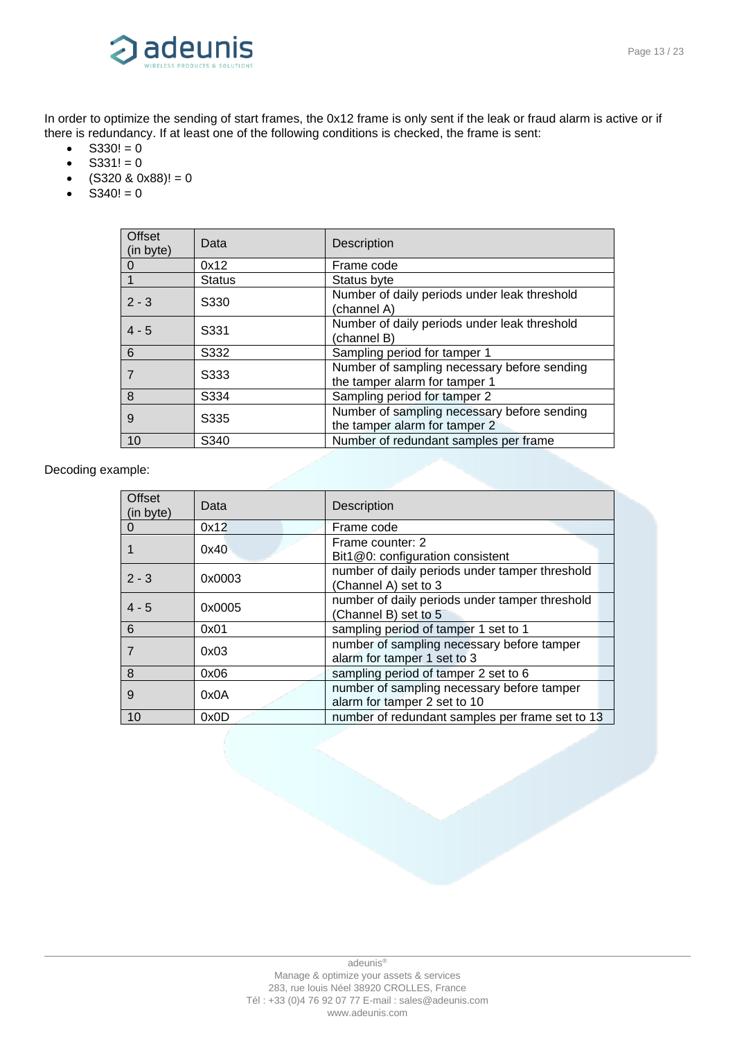

In order to optimize the sending of start frames, the 0x12 frame is only sent if the leak or fraud alarm is active or if there is redundancy. If at least one of the following conditions is checked, the frame is sent:

- $S330! = 0$
- $S331! = 0$
- $(S320 \& 0x88)! = 0$
- $S340! = 0$

| Offset<br>(in byte) | Data          | <b>Description</b>                                                           |
|---------------------|---------------|------------------------------------------------------------------------------|
| O                   | 0x12          | Frame code                                                                   |
|                     | <b>Status</b> | Status byte                                                                  |
| $2 - 3$             | S330          | Number of daily periods under leak threshold<br>(channel A)                  |
| $4 - 5$             | S331          | Number of daily periods under leak threshold<br>(channel B)                  |
| 6                   | S332          | Sampling period for tamper 1                                                 |
|                     | S333          | Number of sampling necessary before sending<br>the tamper alarm for tamper 1 |
| 8                   | S334          | Sampling period for tamper 2                                                 |
| 9                   | S335          | Number of sampling necessary before sending<br>the tamper alarm for tamper 2 |
| 10                  | S340          | Number of redundant samples per frame                                        |

| Offset<br>(in byte) | Data   | <b>Description</b>                                                         |
|---------------------|--------|----------------------------------------------------------------------------|
| $\Omega$            | 0x12   | Frame code                                                                 |
|                     | 0x40   | Frame counter: 2<br>Bit1@0: configuration consistent                       |
| $2 - 3$             | 0x0003 | number of daily periods under tamper threshold<br>(Channel A) set to 3     |
| $4 - 5$             | 0x0005 | number of daily periods under tamper threshold<br>(Channel B) set to 5     |
| 6                   | 0x01   | sampling period of tamper 1 set to 1                                       |
| 7                   | 0x03   | number of sampling necessary before tamper<br>alarm for tamper 1 set to 3  |
| 8                   | 0x06   | sampling period of tamper 2 set to 6                                       |
| 9                   | 0x0A   | number of sampling necessary before tamper<br>alarm for tamper 2 set to 10 |
| 10                  | 0x0D   | number of redundant samples per frame set to 13                            |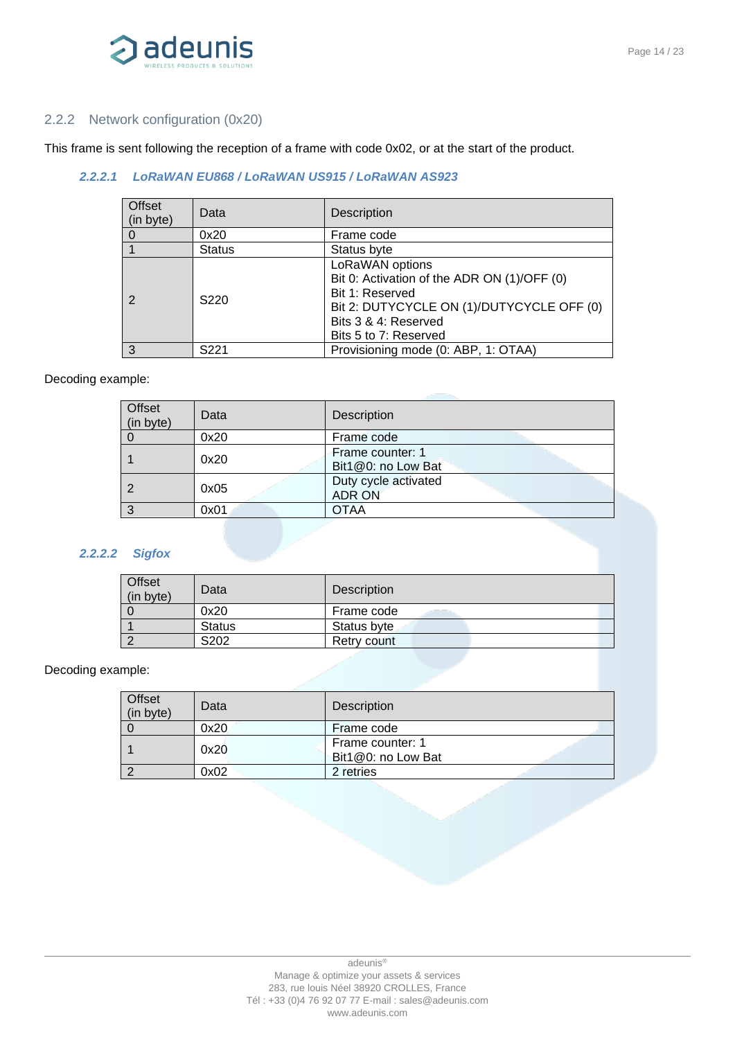

#### <span id="page-13-0"></span>2.2.2 Network configuration (0x20)

This frame is sent following the reception of a frame with code 0x02, or at the start of the product.

#### *2.2.2.1 LoRaWAN EU868 / LoRaWAN US915 / LoRaWAN AS923*

| Offset<br>(in byte) | Data             | <b>Description</b>                                                                                                                                                              |
|---------------------|------------------|---------------------------------------------------------------------------------------------------------------------------------------------------------------------------------|
|                     | 0x20             | Frame code                                                                                                                                                                      |
|                     | <b>Status</b>    | Status byte                                                                                                                                                                     |
|                     | S <sub>220</sub> | LoRaWAN options<br>Bit 0: Activation of the ADR ON (1)/OFF (0)<br>Bit 1: Reserved<br>Bit 2: DUTYCYCLE ON (1)/DUTYCYCLE OFF (0)<br>Bits 3 & 4: Reserved<br>Bits 5 to 7: Reserved |
| 3                   | S <sub>221</sub> | Provisioning mode (0: ABP, 1: OTAA)                                                                                                                                             |

#### Decoding example:

| Offset<br>(in byte) | Data | Description                            |
|---------------------|------|----------------------------------------|
|                     | 0x20 | Frame code                             |
|                     | 0x20 | Frame counter: 1<br>Bit1@0: no Low Bat |
|                     | 0x05 | Duty cycle activated<br><b>ADR ON</b>  |
| З                   | 0x01 | OTAA                                   |

#### *2.2.2.2 Sigfox*

| Offset<br>(in byte) | Data          | <b>Description</b> |
|---------------------|---------------|--------------------|
|                     | 0x20          | Frame code         |
|                     | <b>Status</b> | Status byte        |
|                     | S202          | Retry count        |

| <b>Offset</b><br>(in byte) | Data | Description                            |
|----------------------------|------|----------------------------------------|
|                            | 0x20 | Frame code                             |
|                            | 0x20 | Frame counter: 1<br>Bit1@0: no Low Bat |
|                            | 0x02 | 2 retries                              |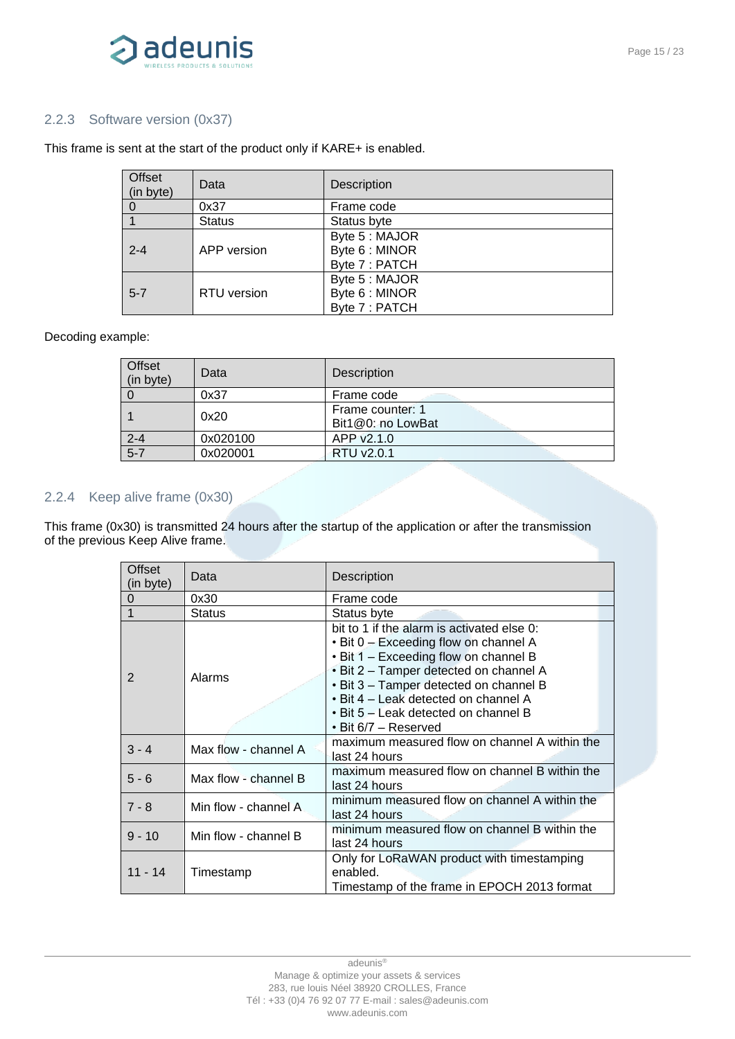

#### 2.2.3 Software version (0x37)

#### This frame is sent at the start of the product only if KARE+ is enabled.

| Offset<br>(in byte) | Data          | <b>Description</b>                                 |
|---------------------|---------------|----------------------------------------------------|
|                     | 0x37          | Frame code                                         |
|                     | <b>Status</b> | Status byte                                        |
| $2 - 4$             | APP version   | Byte 5 : MAJOR<br>Byte 6 : MINOR<br>Byte 7 : PATCH |
| $5 - 7$             | RTU version   | Byte 5 : MAJOR<br>Byte 6 : MINOR<br>Byte 7 : PATCH |

#### Decoding example:

| Offset<br>(in byte) | Data     | Description                           |
|---------------------|----------|---------------------------------------|
|                     | 0x37     | Frame code                            |
|                     | 0x20     | Frame counter: 1<br>Bit1@0: no LowBat |
| $2 - 4$             | 0x020100 | APP v2.1.0                            |
| $5 - 7$             | 0x020001 | RTU v2.0.1                            |

#### <span id="page-14-0"></span>2.2.4 Keep alive frame (0x30)

This frame (0x30) is transmitted 24 hours after the startup of the application or after the transmission of the previous Keep Alive frame.

| Offset<br>(in byte) | Data                 | Description                                                                                                                                                                                                                                                                                                                    |
|---------------------|----------------------|--------------------------------------------------------------------------------------------------------------------------------------------------------------------------------------------------------------------------------------------------------------------------------------------------------------------------------|
| 0                   | 0x30                 | Frame code                                                                                                                                                                                                                                                                                                                     |
| 1                   | <b>Status</b>        | Status byte                                                                                                                                                                                                                                                                                                                    |
| 2                   | Alarms               | bit to 1 if the alarm is activated else 0:<br>• Bit 0 – Exceeding flow on channel A<br>• Bit 1 – Exceeding flow on channel B<br>• Bit 2 - Tamper detected on channel A<br>• Bit 3 - Tamper detected on channel B<br>• Bit 4 – Leak detected on channel A<br>• Bit 5 – Leak detected on channel B<br>$\cdot$ Bit 6/7 – Reserved |
| $3 - 4$             | Max flow - channel A | maximum measured flow on channel A within the<br>last 24 hours                                                                                                                                                                                                                                                                 |
| $5 - 6$             | Max flow - channel B | maximum measured flow on channel B within the<br>last 24 hours                                                                                                                                                                                                                                                                 |
| $7 - 8$             | Min flow - channel A | minimum measured flow on channel A within the<br>last 24 hours                                                                                                                                                                                                                                                                 |
| $9 - 10$            | Min flow - channel B | minimum measured flow on channel B within the<br>last 24 hours                                                                                                                                                                                                                                                                 |
| $11 - 14$           | Timestamp            | Only for LoRaWAN product with timestamping<br>enabled.<br>Timestamp of the frame in EPOCH 2013 format                                                                                                                                                                                                                          |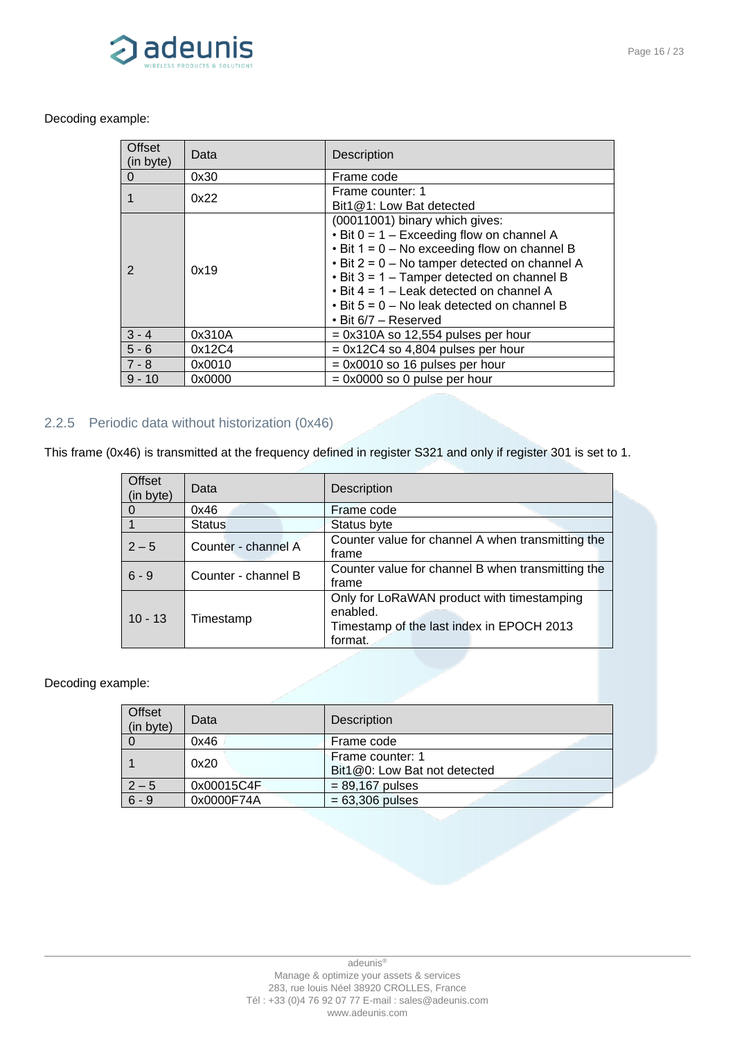

#### Decoding example:

| <b>Offset</b><br>(in byte) | Data   | <b>Description</b>                                                                                                                                                                                                                                                                                                                                                                      |
|----------------------------|--------|-----------------------------------------------------------------------------------------------------------------------------------------------------------------------------------------------------------------------------------------------------------------------------------------------------------------------------------------------------------------------------------------|
| $\Omega$                   | 0x30   | Frame code                                                                                                                                                                                                                                                                                                                                                                              |
|                            | 0x22   | Frame counter: 1<br>Bit1@1: Low Bat detected                                                                                                                                                                                                                                                                                                                                            |
| $\mathcal{P}$              | 0x19   | (00011001) binary which gives:<br>$\cdot$ Bit 0 = 1 – Exceeding flow on channel A<br>$\cdot$ Bit 1 = 0 – No exceeding flow on channel B<br>$\cdot$ Bit 2 = 0 – No tamper detected on channel A<br>$\cdot$ Bit 3 = 1 – Tamper detected on channel B<br>$\cdot$ Bit 4 = 1 – Leak detected on channel A<br>$\cdot$ Bit 5 = 0 - No leak detected on channel B<br>$\cdot$ Bit 6/7 – Reserved |
| $3 - 4$                    | 0x310A | $= 0x310A$ so 12,554 pulses per hour                                                                                                                                                                                                                                                                                                                                                    |
| $5 - 6$                    | 0x12C4 | $= 0x12C4$ so 4,804 pulses per hour                                                                                                                                                                                                                                                                                                                                                     |
| $7 - 8$                    | 0x0010 | $= 0x0010$ so 16 pulses per hour                                                                                                                                                                                                                                                                                                                                                        |
| $9 - 10$                   | 0x0000 | $= 0x0000$ so 0 pulse per hour                                                                                                                                                                                                                                                                                                                                                          |

### <span id="page-15-0"></span>2.2.5 Periodic data without historization (0x46)

This frame (0x46) is transmitted at the frequency defined in register S321 and only if register 301 is set to 1.

| <b>Offset</b><br>(in byte) | Data                | Description                                                                                                    |
|----------------------------|---------------------|----------------------------------------------------------------------------------------------------------------|
|                            | 0x46                | Frame code                                                                                                     |
|                            | <b>Status</b>       | Status byte                                                                                                    |
| $2 - 5$                    | Counter - channel A | Counter value for channel A when transmitting the<br>frame                                                     |
| $6 - 9$                    | Counter - channel B | Counter value for channel B when transmitting the<br>frame                                                     |
| $10 - 13$                  | Timestamp           | Only for LoRaWAN product with timestamping<br>enabled.<br>Timestamp of the last index in EPOCH 2013<br>format. |

| <b>Offset</b><br>(in byte) | Data       | <b>Description</b>                               |
|----------------------------|------------|--------------------------------------------------|
|                            | 0x46       | Frame code                                       |
|                            | 0x20       | Frame counter: 1<br>Bit1@0: Low Bat not detected |
| $2 - 5$                    | 0x00015C4F | $= 89,167$ pulses                                |
| $6 - 9$                    | 0x0000F74A | $= 63,306$ pulses                                |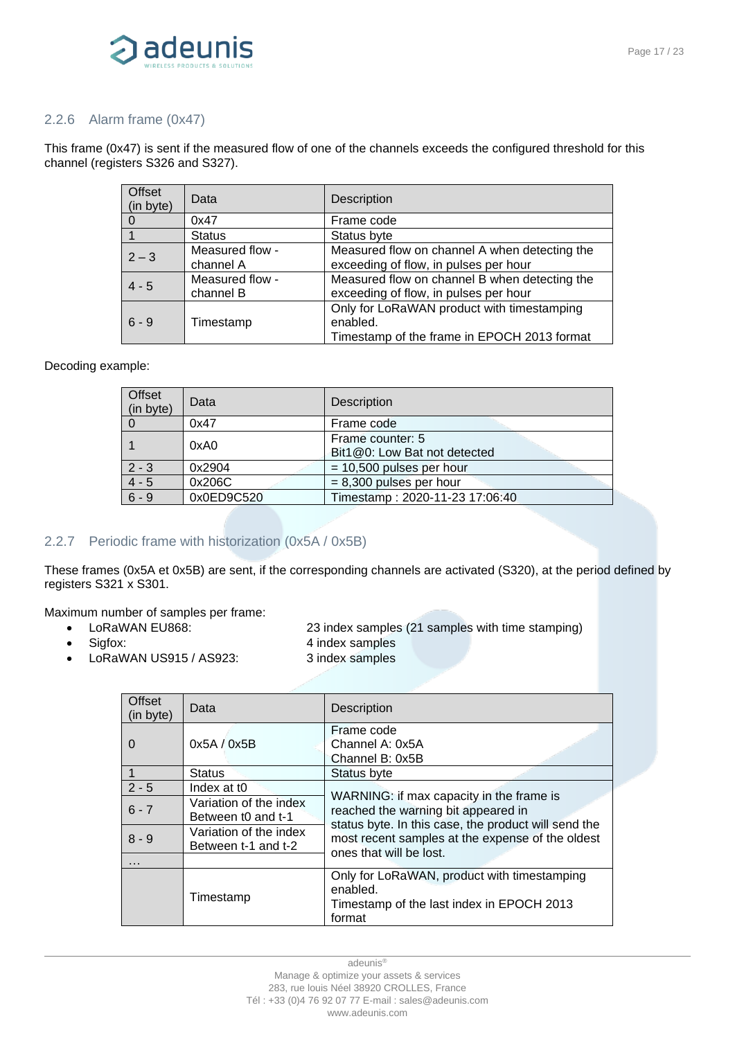

#### <span id="page-16-0"></span>2.2.6 Alarm frame (0x47)

This frame (0x47) is sent if the measured flow of one of the channels exceeds the configured threshold for this channel (registers S326 and S327).

| <b>Offset</b><br>(in byte) | Data                         | Description                                                                                           |
|----------------------------|------------------------------|-------------------------------------------------------------------------------------------------------|
|                            | 0x47                         | Frame code                                                                                            |
|                            | <b>Status</b>                | Status byte                                                                                           |
| $2 - 3$                    | Measured flow -<br>channel A | Measured flow on channel A when detecting the<br>exceeding of flow, in pulses per hour                |
| $4 - 5$                    | Measured flow -<br>channel B | Measured flow on channel B when detecting the<br>exceeding of flow, in pulses per hour                |
| $6 - 9$                    | Timestamp                    | Only for LoRaWAN product with timestamping<br>enabled.<br>Timestamp of the frame in EPOCH 2013 format |

#### Decoding example:

| Offset<br>(in byte) | Data       | Description                                      |
|---------------------|------------|--------------------------------------------------|
|                     | 0x47       | Frame code                                       |
|                     | 0xA0       | Frame counter: 5<br>Bit1@0: Low Bat not detected |
| $2 - 3$             | 0x2904     | $= 10,500$ pulses per hour                       |
| $4 - 5$             | 0x206C     | $= 8,300$ pulses per hour                        |
| $6 - 9$             | 0x0ED9C520 | Timestamp: 2020-11-23 17:06:40                   |

#### <span id="page-16-1"></span>2.2.7 Periodic frame with historization (0x5A / 0x5B)

These frames (0x5A et 0x5B) are sent, if the corresponding channels are activated (S320), at the period defined by registers S321 x S301.

Maximum number of samples per frame:

- LoRaWAN EU868: 23 index samples (21 samples with time stamping)
	-
	- LoRaWAN US915 / AS923: 3 index samples
- Sigfox: 4 index samples
	-

| Offset<br>(in byte) | Data                                          | <b>Description</b>                                                                                                                      |  |
|---------------------|-----------------------------------------------|-----------------------------------------------------------------------------------------------------------------------------------------|--|
| 0                   | 0x5A / 0x5B                                   | Frame code<br>Channel A: 0x5A<br>Channel B: 0x5B                                                                                        |  |
| 1                   | <b>Status</b>                                 | Status byte                                                                                                                             |  |
| $2 - 5$             | Index at t <sub>0</sub>                       |                                                                                                                                         |  |
| $6 - 7$             | Variation of the index<br>Between t0 and t-1  | WARNING: if max capacity in the frame is<br>reached the warning bit appeared in<br>status byte. In this case, the product will send the |  |
| $8 - 9$             | Variation of the index<br>Between t-1 and t-2 | most recent samples at the expense of the oldest<br>ones that will be lost.                                                             |  |
| .                   |                                               |                                                                                                                                         |  |
|                     | Timestamp                                     | Only for LoRaWAN, product with timestamping<br>enabled.<br>Timestamp of the last index in EPOCH 2013<br>format                          |  |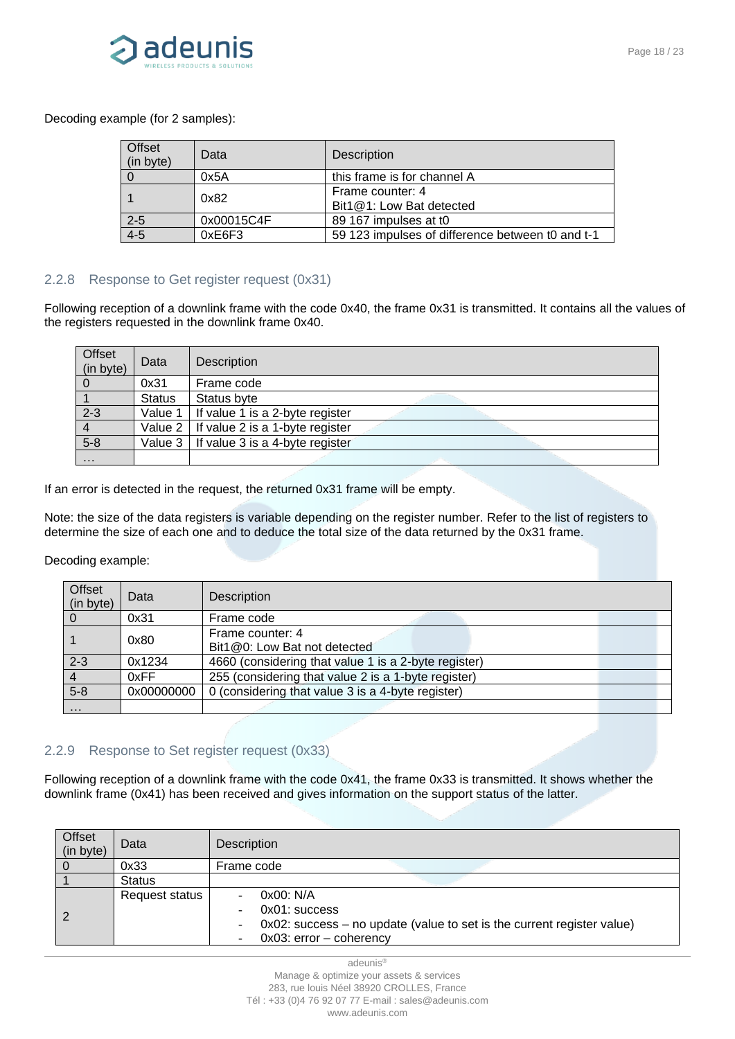

Decoding example (for 2 samples):

| Offset<br>(in byte) | Data       | Description                                      |
|---------------------|------------|--------------------------------------------------|
|                     | 0x5A       | this frame is for channel A                      |
|                     | 0x82       | Frame counter: 4<br>Bit1@1: Low Bat detected     |
| $2 - 5$             | 0x00015C4F | 89 167 impulses at t0                            |
| $4 - 5$             | 0xE6F3     | 59 123 impulses of difference between t0 and t-1 |

#### <span id="page-17-0"></span>2.2.8 Response to Get register request (0x31)

Following reception of a downlink frame with the code 0x40, the frame 0x31 is transmitted. It contains all the values of the registers requested in the downlink frame 0x40.

| Offset<br>(in byte) | Data          | Description                                    |
|---------------------|---------------|------------------------------------------------|
| $\overline{0}$      | 0x31          | Frame code                                     |
|                     | <b>Status</b> | Status byte                                    |
| $2 - 3$             |               | Value 1   If value 1 is a 2-byte register      |
|                     |               | Value $2 \mid$ If value 2 is a 1-byte register |
| $5 - 8$             |               | Value $3 \mid$ If value 3 is a 4-byte register |
| $\cdots$            |               |                                                |

If an error is detected in the request, the returned 0x31 frame will be empty.

Note: the size of the data registers is variable depending on the register number. Refer to the list of registers to determine the size of each one and to deduce the total size of the data returned by the 0x31 frame.

Decoding example:

| Offset<br>(in byte) | Data       | <b>Description</b>                                   |
|---------------------|------------|------------------------------------------------------|
| $\Omega$            | 0x31       | Frame code                                           |
|                     | 0x80       | Frame counter: 4<br>Bit1@0: Low Bat not detected     |
| $2 - 3$             | 0x1234     | 4660 (considering that value 1 is a 2-byte register) |
|                     | 0xFF       | 255 (considering that value 2 is a 1-byte register)  |
| $5 - 8$             | 0x00000000 | 0 (considering that value 3 is a 4-byte register)    |
| $\cdots$            |            |                                                      |

#### <span id="page-17-1"></span>2.2.9 Response to Set register request (0x33)

Following reception of a downlink frame with the code 0x41, the frame 0x33 is transmitted. It shows whether the downlink frame (0x41) has been received and gives information on the support status of the latter.

| Offset<br>(in byte) | Data           | Description                                                                                                                        |
|---------------------|----------------|------------------------------------------------------------------------------------------------------------------------------------|
|                     | 0x33           | Frame code                                                                                                                         |
|                     | <b>Status</b>  |                                                                                                                                    |
|                     | Request status | 0x00: N/A<br>0x01: success<br>0x02: success – no update (value to set is the current register value)<br>$0x03$ : error - coherency |

adeunis® Manage & optimize your assets & services 283, rue louis Néel 38920 CROLLES, France Tél : +33 (0)4 76 92 07 77 E-mail : sales@adeunis.com www.adeunis.com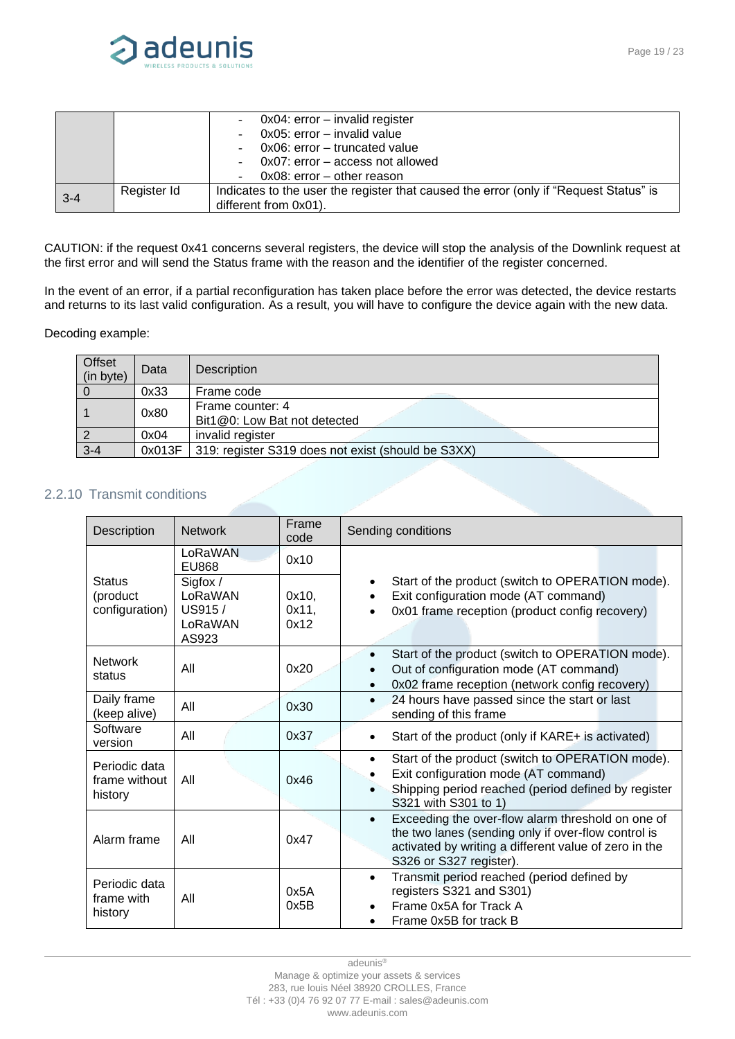

|         |             | $0x04$ : error – invalid register                                                     |
|---------|-------------|---------------------------------------------------------------------------------------|
|         |             | 0x05: error – invalid value                                                           |
|         |             | 0x06: error - truncated value                                                         |
|         |             | 0x07: error – access not allowed                                                      |
|         |             | $0x08$ : error – other reason                                                         |
| $3 - 4$ | Register Id | Indicates to the user the register that caused the error (only if "Request Status" is |
|         |             | different from 0x01).                                                                 |

CAUTION: if the request 0x41 concerns several registers, the device will stop the analysis of the Downlink request at the first error and will send the Status frame with the reason and the identifier of the register concerned.

In the event of an error, if a partial reconfiguration has taken place before the error was detected, the device restarts and returns to its last valid configuration. As a result, you will have to configure the device again with the new data.

#### Decoding example:

| Offset<br>(in byte) | Data   | Description                                        |
|---------------------|--------|----------------------------------------------------|
|                     | 0x33   | Frame code                                         |
|                     | 0x80   | Frame counter: 4<br>Bit1@0: Low Bat not detected   |
|                     | 0x04   | invalid register                                   |
| $3 - 4$             | 0x013F | 319: register S319 does not exist (should be S3XX) |

### <span id="page-18-0"></span>2.2.10 Transmit conditions

| Description                                 | <b>Network</b>                                    | Frame<br>code          | Sending conditions                                                                                                                                                                                        |
|---------------------------------------------|---------------------------------------------------|------------------------|-----------------------------------------------------------------------------------------------------------------------------------------------------------------------------------------------------------|
|                                             | LoRaWAN<br><b>EU868</b>                           | 0x10                   |                                                                                                                                                                                                           |
| <b>Status</b><br>(product<br>configuration) | Sigfox /<br>LoRaWAN<br>US915/<br>LoRaWAN<br>AS923 | 0x10,<br>0x11,<br>0x12 | Start of the product (switch to OPERATION mode).<br>٠<br>Exit configuration mode (AT command)<br>$\bullet$<br>0x01 frame reception (product config recovery)                                              |
| <b>Network</b><br>status                    | All                                               | 0x20                   | Start of the product (switch to OPERATION mode).<br>$\bullet$<br>Out of configuration mode (AT command)<br>$\bullet$<br>0x02 frame reception (network config recovery)<br>$\bullet$                       |
| Daily frame<br>(keep alive)                 | All                                               | 0x30                   | 24 hours have passed since the start or last<br>$\bullet$<br>sending of this frame                                                                                                                        |
| Software<br>version                         | All                                               | 0x37                   | Start of the product (only if KARE+ is activated)                                                                                                                                                         |
| Periodic data<br>frame without<br>history   | All                                               | 0x46                   | Start of the product (switch to OPERATION mode).<br>$\bullet$<br>Exit configuration mode (AT command)<br>Shipping period reached (period defined by register<br>S321 with S301 to 1)                      |
| Alarm frame                                 | All                                               | 0x47                   | Exceeding the over-flow alarm threshold on one of<br>$\bullet$<br>the two lanes (sending only if over-flow control is<br>activated by writing a different value of zero in the<br>S326 or S327 register). |
| Periodic data<br>frame with<br>history      | All                                               | 0x5A<br>0x5B           | Transmit period reached (period defined by<br>$\bullet$<br>registers S321 and S301)<br>Frame 0x5A for Track A<br>Frame 0x5B for track B                                                                   |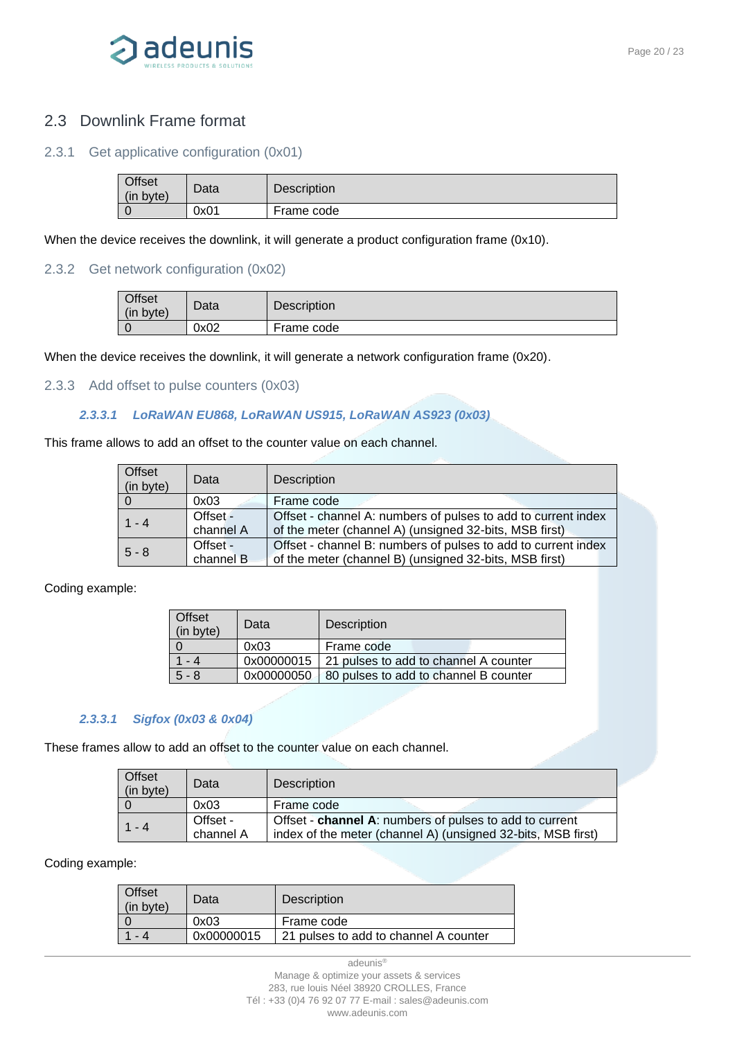

### <span id="page-19-0"></span>2.3 Downlink Frame format

#### <span id="page-19-1"></span>2.3.1 Get applicative configuration (0x01)

| <b>Offset</b><br>(in byte) | Data | Description |
|----------------------------|------|-------------|
|                            | 0x01 | Frame code  |

When the device receives the downlink, it will generate a product configuration frame (0x10).

#### <span id="page-19-2"></span>2.3.2 Get network configuration (0x02)

| <b>Offset</b><br>(in byte) | Data | <b>Description</b> |
|----------------------------|------|--------------------|
|                            | 0x02 | Frame code         |

When the device receives the downlink, it will generate a network configuration frame (0x20).

#### <span id="page-19-3"></span>2.3.3 Add offset to pulse counters (0x03)

#### *2.3.3.1 LoRaWAN EU868, LoRaWAN US915, LoRaWAN AS923 (0x03)*

This frame allows to add an offset to the counter value on each channel.

| <b>Offset</b><br>(in byte) | Data      | <b>Description</b>                                            |
|----------------------------|-----------|---------------------------------------------------------------|
| l 0                        | 0x03      | Frame code                                                    |
| $1 - 4$                    | Offset -  | Offset - channel A: numbers of pulses to add to current index |
|                            | channel A | of the meter (channel A) (unsigned 32-bits, MSB first)        |
| $5 - 8$                    | Offset -  | Offset - channel B: numbers of pulses to add to current index |
|                            | channel B | of the meter (channel B) (unsigned 32-bits, MSB first)        |

Coding example:

| Offset<br>(in byte) | Data       | <b>Description</b>                               |
|---------------------|------------|--------------------------------------------------|
|                     | 0x03       | Frame code                                       |
| - 4                 |            | 0x00000015 21 pulses to add to channel A counter |
| $5 - 8$             | 0x00000050 | 80 pulses to add to channel B counter            |

#### *2.3.3.1 Sigfox (0x03 & 0x04)*

These frames allow to add an offset to the counter value on each channel.

| Offset<br>(in byte) | Data      | <b>Description</b>                                           |
|---------------------|-----------|--------------------------------------------------------------|
|                     | 0x03      | Frame code                                                   |
| $1 - 4$             | Offset -  | Offset - channel A: numbers of pulses to add to current      |
|                     | channel A | index of the meter (channel A) (unsigned 32-bits, MSB first) |

Coding example:

| Data       | <b>Description</b>                    |
|------------|---------------------------------------|
| 0x03       | Frame code                            |
| 0x00000015 | 21 pulses to add to channel A counter |
|            |                                       |

adeunis®

Manage & optimize your assets & services 283, rue louis Néel 38920 CROLLES, France Tél : +33 (0)4 76 92 07 77 E-mail : sales@adeunis.com www.adeunis.com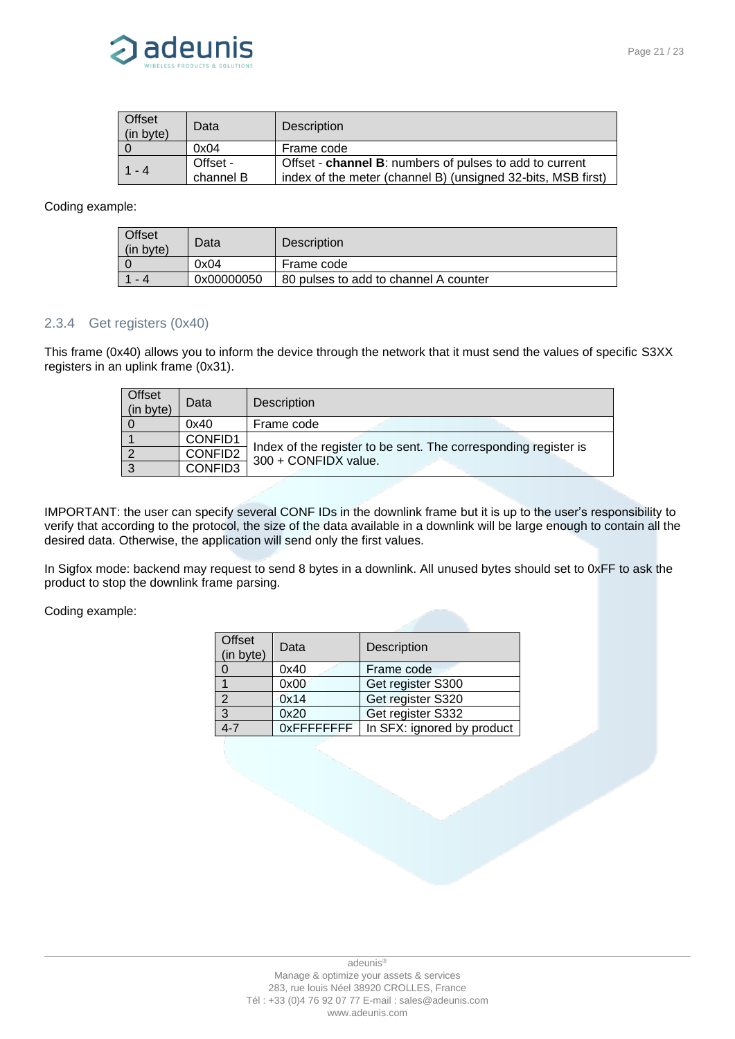

| <b>Offset</b><br>(in byte) | Data      | <b>Description</b>                                           |
|----------------------------|-----------|--------------------------------------------------------------|
|                            | 0x04      | Frame code                                                   |
| 1 - 4                      | Offset -  | Offset - channel B: numbers of pulses to add to current      |
|                            | channel B | index of the meter (channel B) (unsigned 32-bits, MSB first) |

#### Coding example:

| <b>Offset</b><br>(in byte) | Data       | <b>Description</b>                    |
|----------------------------|------------|---------------------------------------|
|                            | 0x04       | Frame code                            |
| - 4                        | 0x00000050 | 80 pulses to add to channel A counter |

#### <span id="page-20-0"></span>2.3.4 Get registers (0x40)

This frame (0x40) allows you to inform the device through the network that it must send the values of specific S3XX registers in an uplink frame (0x31).

| <b>Offset</b><br>(in byte) | Data    | <b>Description</b>                                                                      |  |
|----------------------------|---------|-----------------------------------------------------------------------------------------|--|
|                            | 0x40    | Frame code                                                                              |  |
|                            | CONFID1 |                                                                                         |  |
|                            | CONFID2 | Index of the register to be sent. The corresponding register is<br>300 + CONFIDX value. |  |
|                            | CONFID3 |                                                                                         |  |

IMPORTANT: the user can specify several CONF IDs in the downlink frame but it is up to the user's responsibility to verify that according to the protocol, the size of the data available in a downlink will be large enough to contain all the desired data. Otherwise, the application will send only the first values.

In Sigfox mode: backend may request to send 8 bytes in a downlink. All unused bytes should set to 0xFF to ask the product to stop the downlink frame parsing.

Coding example:

| <b>Offset</b><br>(in byte) | Data        | Description                |
|----------------------------|-------------|----------------------------|
|                            | 0x40        | Frame code                 |
|                            | 0x00        | Get register S300          |
| $\mathcal{P}$              | 0x14        | Get register S320          |
| 3                          | 0x20        | Get register S332          |
|                            | 0xFFFFFFFFF | In SFX: ignored by product |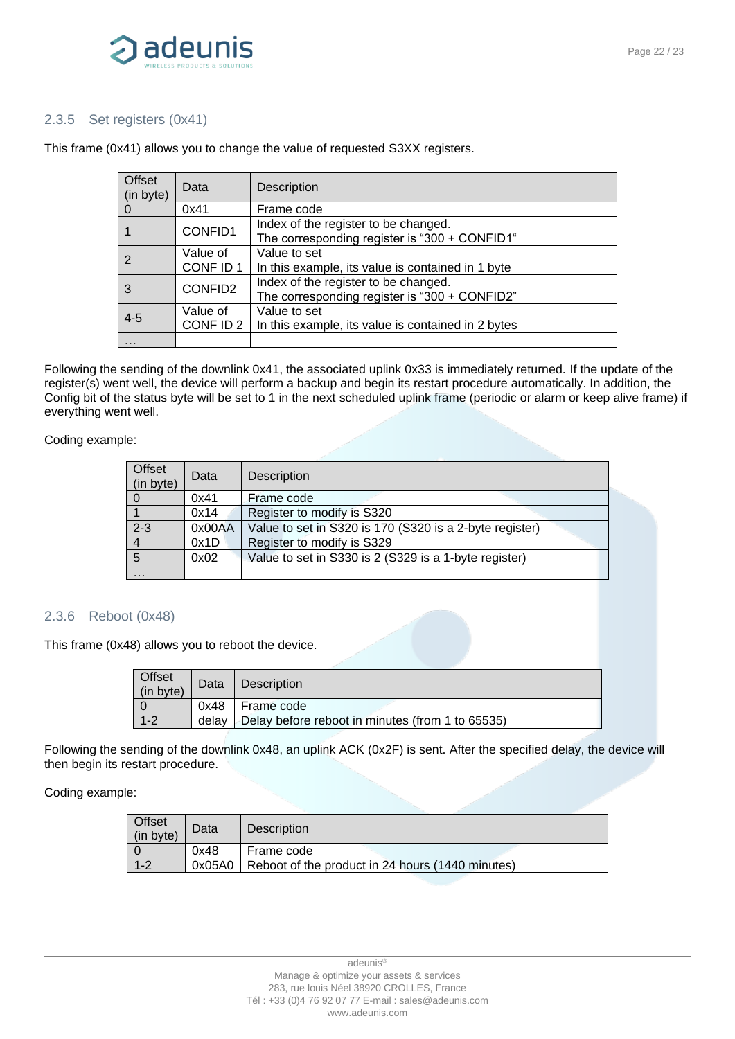

#### <span id="page-21-0"></span>2.3.5 Set registers (0x41)

| Offset<br>(in byte) | Data                  | Description                                                                           |
|---------------------|-----------------------|---------------------------------------------------------------------------------------|
| $\Omega$            | 0x41                  | Frame code                                                                            |
|                     | CONFID1               | Index of the register to be changed.<br>The corresponding register is "300 + CONFID1" |
| 2                   | Value of<br>CONF ID 1 | Value to set<br>In this example, its value is contained in 1 byte                     |
| 3                   | CONFID2               | Index of the register to be changed.<br>The corresponding register is "300 + CONFID2" |
| $4 - 5$             | Value of<br>CONF ID 2 | Value to set<br>In this example, its value is contained in 2 bytes                    |
| $\cdot$             |                       |                                                                                       |

This frame (0x41) allows you to change the value of requested S3XX registers.

Following the sending of the downlink 0x41, the associated uplink 0x33 is immediately returned. If the update of the register(s) went well, the device will perform a backup and begin its restart procedure automatically. In addition, the Config bit of the status byte will be set to 1 in the next scheduled uplink frame (periodic or alarm or keep alive frame) if everything went well.

#### Coding example:

| Offset<br>(in byte) | Data   | Description                                             |  |
|---------------------|--------|---------------------------------------------------------|--|
|                     | 0x41   | Frame code                                              |  |
|                     | 0x14   | Register to modify is S320                              |  |
| $2 - 3$             | 0x00AA | Value to set in S320 is 170 (S320 is a 2-byte register) |  |
|                     | 0x1D   | Register to modify is S329                              |  |
| 5                   | 0x02   | Value to set in S330 is 2 (S329 is a 1-byte register)   |  |
| $\cdots$            |        |                                                         |  |

#### 2.3.6 Reboot (0x48)

This frame (0x48) allows you to reboot the device.

| Offset<br>(in byte)                                                  | Data | Description  |
|----------------------------------------------------------------------|------|--------------|
|                                                                      | 0x48 | I Frame code |
| $1 - 2$<br>Delay before reboot in minutes (from 1 to 65535)<br>delav |      |              |

Following the sending of the downlink 0x48, an uplink ACK (0x2F) is sent. After the specified delay, the device will then begin its restart procedure.

#### Coding example:

| Offset<br>(in byte) | Data   | <b>Description</b>                               |  |
|---------------------|--------|--------------------------------------------------|--|
|                     | 0x48   | Frame code                                       |  |
| $1 - 2$             | 0x05A0 | Reboot of the product in 24 hours (1440 minutes) |  |